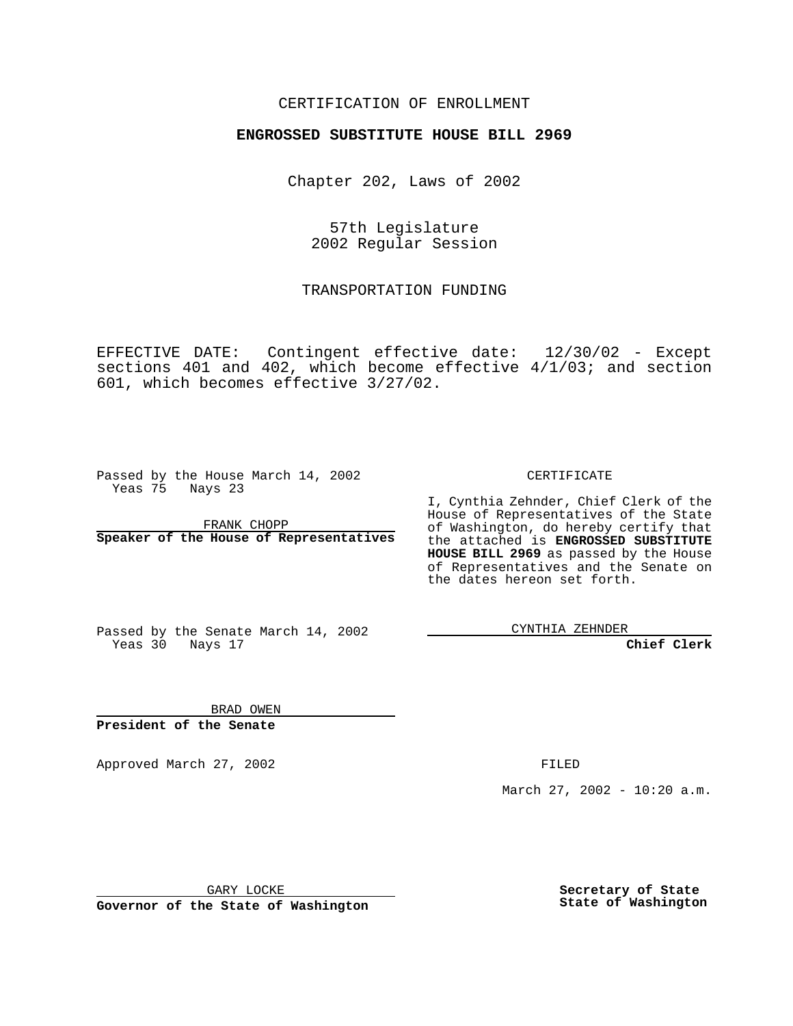#### CERTIFICATION OF ENROLLMENT

# **ENGROSSED SUBSTITUTE HOUSE BILL 2969**

Chapter 202, Laws of 2002

57th Legislature 2002 Regular Session

TRANSPORTATION FUNDING

EFFECTIVE DATE: Contingent effective date: 12/30/02 - Except sections 401 and 402, which become effective 4/1/03; and section 601, which becomes effective 3/27/02.

Passed by the House March 14, 2002 Yeas 75 Nays 23

FRANK CHOPP **Speaker of the House of Representatives** CERTIFICATE

I, Cynthia Zehnder, Chief Clerk of the House of Representatives of the State of Washington, do hereby certify that the attached is **ENGROSSED SUBSTITUTE HOUSE BILL 2969** as passed by the House of Representatives and the Senate on the dates hereon set forth.

Passed by the Senate March 14, 2002 Yeas 30 Nays 17

CYNTHIA ZEHNDER

**Chief Clerk**

BRAD OWEN **President of the Senate**

Approved March 27, 2002 FILED

March 27, 2002 - 10:20 a.m.

GARY LOCKE

**Governor of the State of Washington**

**Secretary of State State of Washington**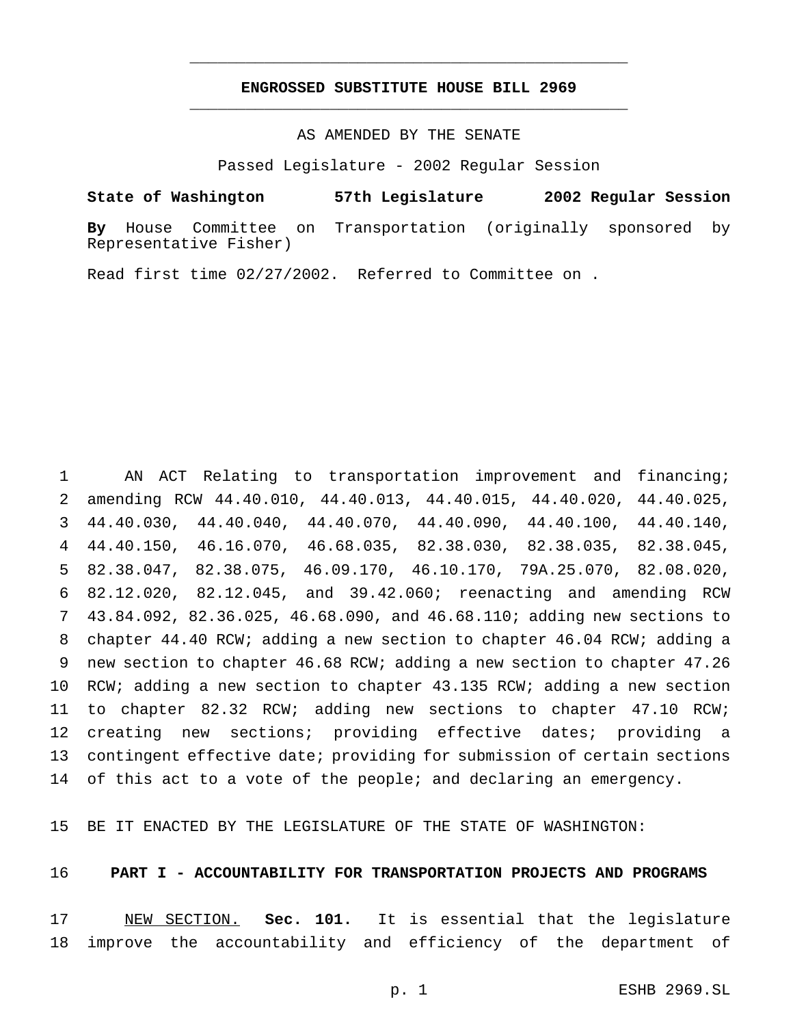## **ENGROSSED SUBSTITUTE HOUSE BILL 2969** \_\_\_\_\_\_\_\_\_\_\_\_\_\_\_\_\_\_\_\_\_\_\_\_\_\_\_\_\_\_\_\_\_\_\_\_\_\_\_\_\_\_\_\_\_\_\_

\_\_\_\_\_\_\_\_\_\_\_\_\_\_\_\_\_\_\_\_\_\_\_\_\_\_\_\_\_\_\_\_\_\_\_\_\_\_\_\_\_\_\_\_\_\_\_

## AS AMENDED BY THE SENATE

Passed Legislature - 2002 Regular Session

#### **State of Washington 57th Legislature 2002 Regular Session**

**By** House Committee on Transportation (originally sponsored by Representative Fisher)

Read first time 02/27/2002. Referred to Committee on .

 AN ACT Relating to transportation improvement and financing; amending RCW 44.40.010, 44.40.013, 44.40.015, 44.40.020, 44.40.025, 44.40.030, 44.40.040, 44.40.070, 44.40.090, 44.40.100, 44.40.140, 44.40.150, 46.16.070, 46.68.035, 82.38.030, 82.38.035, 82.38.045, 82.38.047, 82.38.075, 46.09.170, 46.10.170, 79A.25.070, 82.08.020, 82.12.020, 82.12.045, and 39.42.060; reenacting and amending RCW 43.84.092, 82.36.025, 46.68.090, and 46.68.110; adding new sections to chapter 44.40 RCW; adding a new section to chapter 46.04 RCW; adding a new section to chapter 46.68 RCW; adding a new section to chapter 47.26 RCW; adding a new section to chapter 43.135 RCW; adding a new section to chapter 82.32 RCW; adding new sections to chapter 47.10 RCW; creating new sections; providing effective dates; providing a contingent effective date; providing for submission of certain sections 14 of this act to a vote of the people; and declaring an emergency.

BE IT ENACTED BY THE LEGISLATURE OF THE STATE OF WASHINGTON:

#### **PART I - ACCOUNTABILITY FOR TRANSPORTATION PROJECTS AND PROGRAMS**

 NEW SECTION. **Sec. 101.** It is essential that the legislature improve the accountability and efficiency of the department of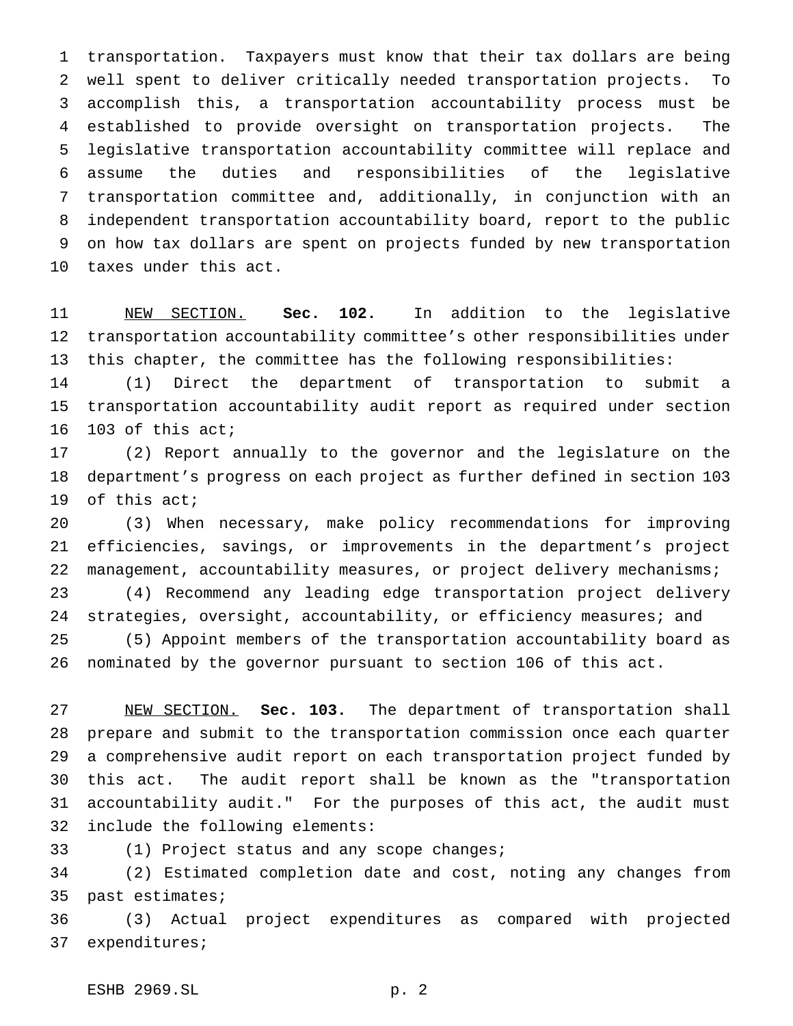transportation. Taxpayers must know that their tax dollars are being well spent to deliver critically needed transportation projects. To accomplish this, a transportation accountability process must be established to provide oversight on transportation projects. The legislative transportation accountability committee will replace and assume the duties and responsibilities of the legislative transportation committee and, additionally, in conjunction with an independent transportation accountability board, report to the public on how tax dollars are spent on projects funded by new transportation taxes under this act.

 NEW SECTION. **Sec. 102.** In addition to the legislative transportation accountability committee's other responsibilities under this chapter, the committee has the following responsibilities:

 (1) Direct the department of transportation to submit a transportation accountability audit report as required under section 103 of this act;

 (2) Report annually to the governor and the legislature on the department's progress on each project as further defined in section 103 of this act;

 (3) When necessary, make policy recommendations for improving efficiencies, savings, or improvements in the department's project 22 management, accountability measures, or project delivery mechanisms; (4) Recommend any leading edge transportation project delivery

24 strategies, oversight, accountability, or efficiency measures; and

 (5) Appoint members of the transportation accountability board as nominated by the governor pursuant to section 106 of this act.

 NEW SECTION. **Sec. 103.** The department of transportation shall prepare and submit to the transportation commission once each quarter a comprehensive audit report on each transportation project funded by this act. The audit report shall be known as the "transportation accountability audit." For the purposes of this act, the audit must include the following elements:

(1) Project status and any scope changes;

 (2) Estimated completion date and cost, noting any changes from past estimates;

 (3) Actual project expenditures as compared with projected expenditures;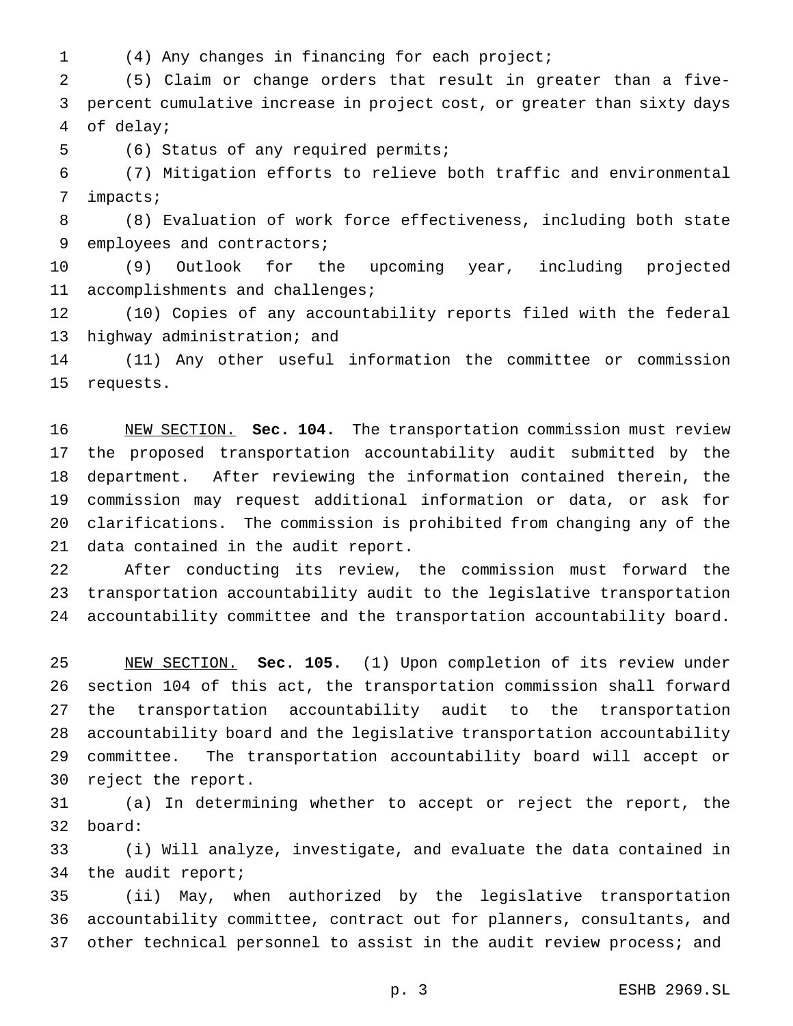- 
- (4) Any changes in financing for each project;

 (5) Claim or change orders that result in greater than a five- percent cumulative increase in project cost, or greater than sixty days of delay;

(6) Status of any required permits;

 (7) Mitigation efforts to relieve both traffic and environmental impacts;

 (8) Evaluation of work force effectiveness, including both state 9 employees and contractors;

 (9) Outlook for the upcoming year, including projected accomplishments and challenges;

 (10) Copies of any accountability reports filed with the federal highway administration; and

 (11) Any other useful information the committee or commission requests.

 NEW SECTION. **Sec. 104.** The transportation commission must review the proposed transportation accountability audit submitted by the department. After reviewing the information contained therein, the commission may request additional information or data, or ask for clarifications. The commission is prohibited from changing any of the data contained in the audit report.

 After conducting its review, the commission must forward the transportation accountability audit to the legislative transportation accountability committee and the transportation accountability board.

 NEW SECTION. **Sec. 105.** (1) Upon completion of its review under section 104 of this act, the transportation commission shall forward the transportation accountability audit to the transportation accountability board and the legislative transportation accountability committee. The transportation accountability board will accept or reject the report.

 (a) In determining whether to accept or reject the report, the board:

 (i) Will analyze, investigate, and evaluate the data contained in the audit report;

 (ii) May, when authorized by the legislative transportation accountability committee, contract out for planners, consultants, and other technical personnel to assist in the audit review process; and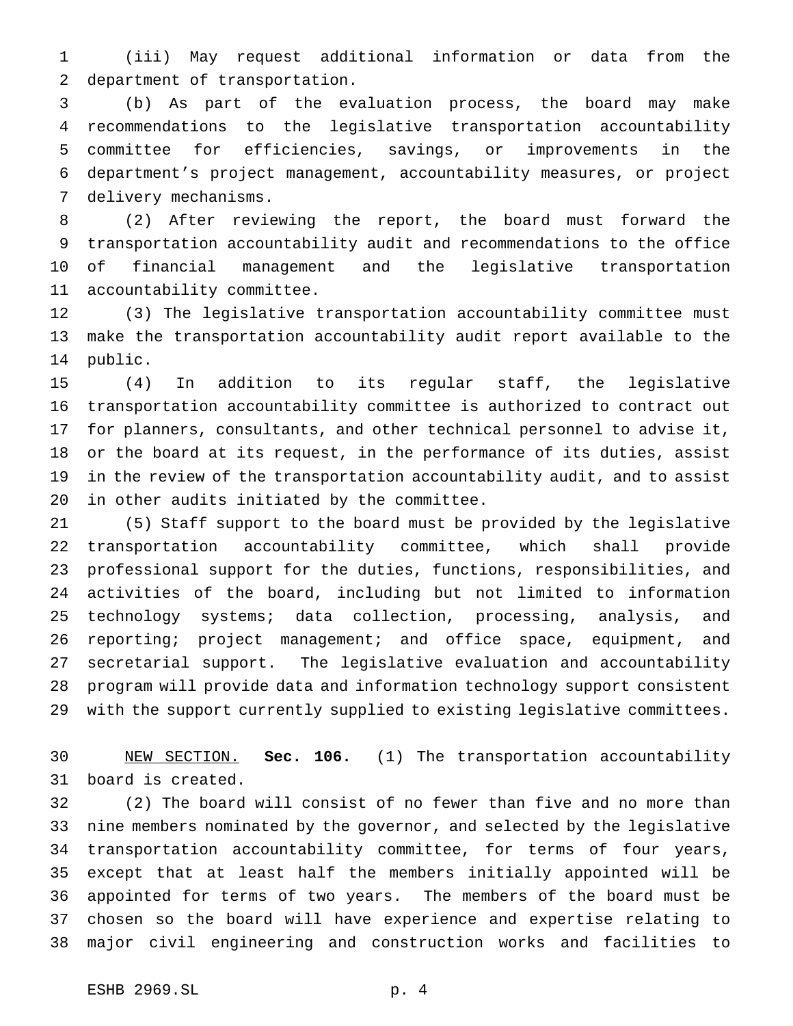(iii) May request additional information or data from the department of transportation.

 (b) As part of the evaluation process, the board may make recommendations to the legislative transportation accountability committee for efficiencies, savings, or improvements in the department's project management, accountability measures, or project delivery mechanisms.

 (2) After reviewing the report, the board must forward the transportation accountability audit and recommendations to the office of financial management and the legislative transportation accountability committee.

 (3) The legislative transportation accountability committee must make the transportation accountability audit report available to the public.

 (4) In addition to its regular staff, the legislative transportation accountability committee is authorized to contract out for planners, consultants, and other technical personnel to advise it, or the board at its request, in the performance of its duties, assist in the review of the transportation accountability audit, and to assist in other audits initiated by the committee.

 (5) Staff support to the board must be provided by the legislative transportation accountability committee, which shall provide professional support for the duties, functions, responsibilities, and activities of the board, including but not limited to information technology systems; data collection, processing, analysis, and reporting; project management; and office space, equipment, and secretarial support. The legislative evaluation and accountability program will provide data and information technology support consistent with the support currently supplied to existing legislative committees.

 NEW SECTION. **Sec. 106.** (1) The transportation accountability board is created.

 (2) The board will consist of no fewer than five and no more than nine members nominated by the governor, and selected by the legislative transportation accountability committee, for terms of four years, except that at least half the members initially appointed will be appointed for terms of two years. The members of the board must be chosen so the board will have experience and expertise relating to major civil engineering and construction works and facilities to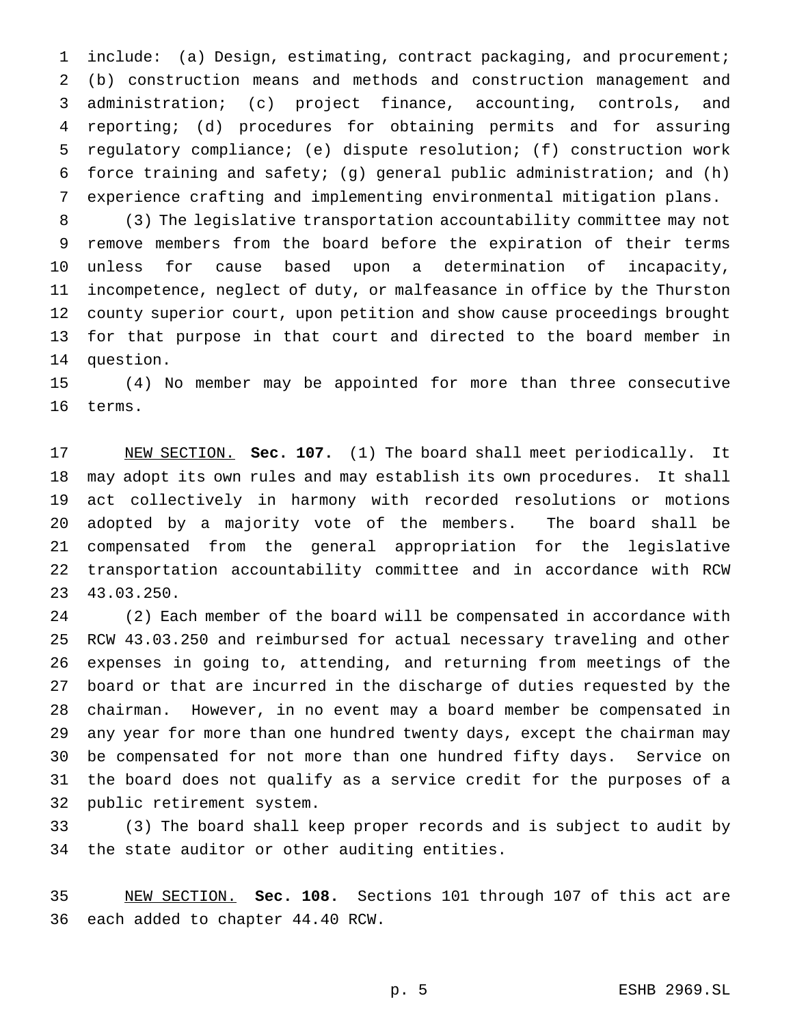include: (a) Design, estimating, contract packaging, and procurement; (b) construction means and methods and construction management and administration; (c) project finance, accounting, controls, and reporting; (d) procedures for obtaining permits and for assuring regulatory compliance; (e) dispute resolution; (f) construction work force training and safety; (g) general public administration; and (h) experience crafting and implementing environmental mitigation plans.

 (3) The legislative transportation accountability committee may not remove members from the board before the expiration of their terms unless for cause based upon a determination of incapacity, incompetence, neglect of duty, or malfeasance in office by the Thurston county superior court, upon petition and show cause proceedings brought for that purpose in that court and directed to the board member in question.

 (4) No member may be appointed for more than three consecutive terms.

 NEW SECTION. **Sec. 107.** (1) The board shall meet periodically. It may adopt its own rules and may establish its own procedures. It shall act collectively in harmony with recorded resolutions or motions adopted by a majority vote of the members. The board shall be compensated from the general appropriation for the legislative transportation accountability committee and in accordance with RCW 43.03.250.

 (2) Each member of the board will be compensated in accordance with RCW 43.03.250 and reimbursed for actual necessary traveling and other expenses in going to, attending, and returning from meetings of the board or that are incurred in the discharge of duties requested by the chairman. However, in no event may a board member be compensated in any year for more than one hundred twenty days, except the chairman may be compensated for not more than one hundred fifty days. Service on the board does not qualify as a service credit for the purposes of a public retirement system.

 (3) The board shall keep proper records and is subject to audit by the state auditor or other auditing entities.

 NEW SECTION. **Sec. 108.** Sections 101 through 107 of this act are each added to chapter 44.40 RCW.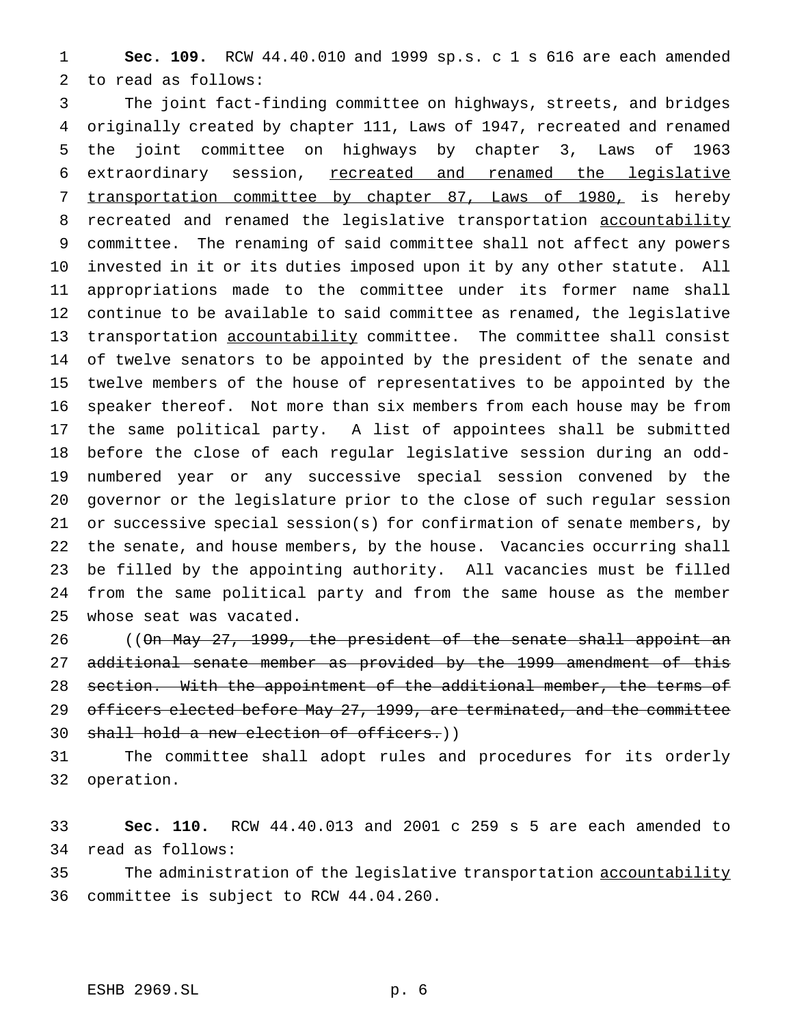**Sec. 109.** RCW 44.40.010 and 1999 sp.s. c 1 s 616 are each amended to read as follows:

 The joint fact-finding committee on highways, streets, and bridges originally created by chapter 111, Laws of 1947, recreated and renamed the joint committee on highways by chapter 3, Laws of 1963 extraordinary session, recreated and renamed the legislative transportation committee by chapter 87, Laws of 1980, is hereby 8 recreated and renamed the legislative transportation accountability committee. The renaming of said committee shall not affect any powers invested in it or its duties imposed upon it by any other statute. All appropriations made to the committee under its former name shall continue to be available to said committee as renamed, the legislative transportation accountability committee. The committee shall consist of twelve senators to be appointed by the president of the senate and twelve members of the house of representatives to be appointed by the speaker thereof. Not more than six members from each house may be from the same political party. A list of appointees shall be submitted before the close of each regular legislative session during an odd- numbered year or any successive special session convened by the governor or the legislature prior to the close of such regular session or successive special session(s) for confirmation of senate members, by the senate, and house members, by the house. Vacancies occurring shall be filled by the appointing authority. All vacancies must be filled from the same political party and from the same house as the member whose seat was vacated.

 ((On May 27, 1999, the president of the senate shall appoint an 27 additional senate member as provided by the 1999 amendment of this section. With the appointment of the additional member, the terms of 29 officers elected before May 27, 1999, are terminated, and the committee shall hold a new election of officers.))

 The committee shall adopt rules and procedures for its orderly operation.

 **Sec. 110.** RCW 44.40.013 and 2001 c 259 s 5 are each amended to read as follows:

35 The administration of the legislative transportation accountability committee is subject to RCW 44.04.260.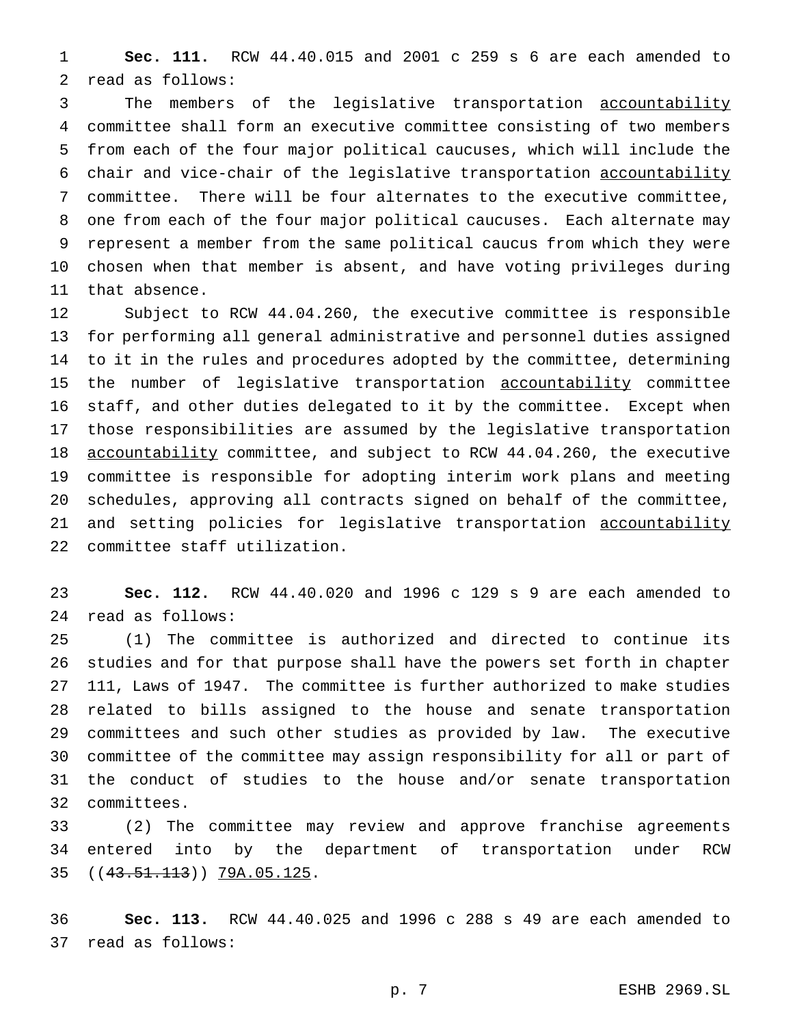**Sec. 111.** RCW 44.40.015 and 2001 c 259 s 6 are each amended to read as follows:

 The members of the legislative transportation accountability committee shall form an executive committee consisting of two members from each of the four major political caucuses, which will include the chair and vice-chair of the legislative transportation accountability committee. There will be four alternates to the executive committee, one from each of the four major political caucuses. Each alternate may represent a member from the same political caucus from which they were chosen when that member is absent, and have voting privileges during that absence.

 Subject to RCW 44.04.260, the executive committee is responsible for performing all general administrative and personnel duties assigned to it in the rules and procedures adopted by the committee, determining 15 the number of legislative transportation accountability committee staff, and other duties delegated to it by the committee. Except when those responsibilities are assumed by the legislative transportation accountability committee, and subject to RCW 44.04.260, the executive committee is responsible for adopting interim work plans and meeting schedules, approving all contracts signed on behalf of the committee, 21 and setting policies for legislative transportation accountability committee staff utilization.

 **Sec. 112.** RCW 44.40.020 and 1996 c 129 s 9 are each amended to read as follows:

 (1) The committee is authorized and directed to continue its studies and for that purpose shall have the powers set forth in chapter 111, Laws of 1947. The committee is further authorized to make studies related to bills assigned to the house and senate transportation committees and such other studies as provided by law. The executive committee of the committee may assign responsibility for all or part of the conduct of studies to the house and/or senate transportation committees.

 (2) The committee may review and approve franchise agreements entered into by the department of transportation under RCW ((43.51.113)) 79A.05.125.

 **Sec. 113.** RCW 44.40.025 and 1996 c 288 s 49 are each amended to read as follows: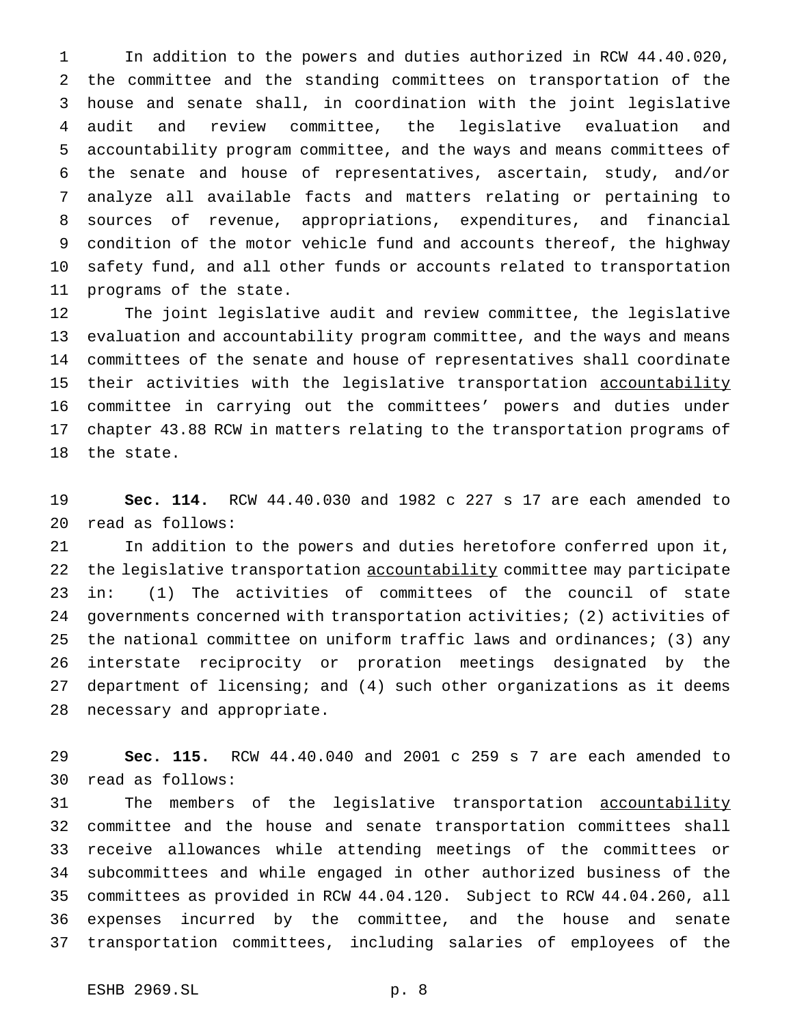In addition to the powers and duties authorized in RCW 44.40.020, the committee and the standing committees on transportation of the house and senate shall, in coordination with the joint legislative audit and review committee, the legislative evaluation and accountability program committee, and the ways and means committees of the senate and house of representatives, ascertain, study, and/or analyze all available facts and matters relating or pertaining to sources of revenue, appropriations, expenditures, and financial condition of the motor vehicle fund and accounts thereof, the highway safety fund, and all other funds or accounts related to transportation programs of the state.

 The joint legislative audit and review committee, the legislative evaluation and accountability program committee, and the ways and means committees of the senate and house of representatives shall coordinate 15 their activities with the legislative transportation accountability committee in carrying out the committees' powers and duties under chapter 43.88 RCW in matters relating to the transportation programs of the state.

 **Sec. 114.** RCW 44.40.030 and 1982 c 227 s 17 are each amended to read as follows:

 In addition to the powers and duties heretofore conferred upon it, 22 the legislative transportation accountability committee may participate in: (1) The activities of committees of the council of state governments concerned with transportation activities; (2) activities of the national committee on uniform traffic laws and ordinances; (3) any interstate reciprocity or proration meetings designated by the department of licensing; and (4) such other organizations as it deems necessary and appropriate.

 **Sec. 115.** RCW 44.40.040 and 2001 c 259 s 7 are each amended to read as follows:

31 The members of the legislative transportation accountability committee and the house and senate transportation committees shall receive allowances while attending meetings of the committees or subcommittees and while engaged in other authorized business of the committees as provided in RCW 44.04.120. Subject to RCW 44.04.260, all expenses incurred by the committee, and the house and senate transportation committees, including salaries of employees of the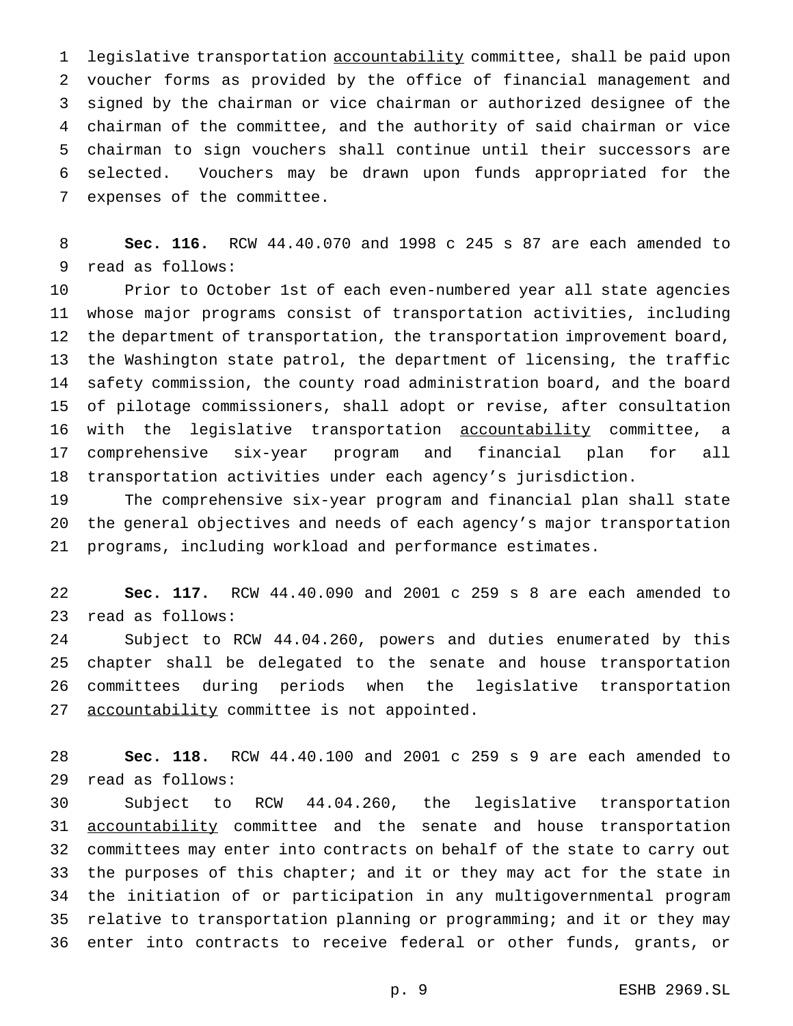legislative transportation accountability committee, shall be paid upon voucher forms as provided by the office of financial management and signed by the chairman or vice chairman or authorized designee of the chairman of the committee, and the authority of said chairman or vice chairman to sign vouchers shall continue until their successors are selected. Vouchers may be drawn upon funds appropriated for the expenses of the committee.

 **Sec. 116.** RCW 44.40.070 and 1998 c 245 s 87 are each amended to read as follows:

 Prior to October 1st of each even-numbered year all state agencies whose major programs consist of transportation activities, including the department of transportation, the transportation improvement board, the Washington state patrol, the department of licensing, the traffic safety commission, the county road administration board, and the board of pilotage commissioners, shall adopt or revise, after consultation 16 with the legislative transportation accountability committee, a comprehensive six-year program and financial plan for all transportation activities under each agency's jurisdiction.

 The comprehensive six-year program and financial plan shall state the general objectives and needs of each agency's major transportation programs, including workload and performance estimates.

 **Sec. 117.** RCW 44.40.090 and 2001 c 259 s 8 are each amended to read as follows:

 Subject to RCW 44.04.260, powers and duties enumerated by this chapter shall be delegated to the senate and house transportation committees during periods when the legislative transportation 27 accountability committee is not appointed.

 **Sec. 118.** RCW 44.40.100 and 2001 c 259 s 9 are each amended to read as follows:

 Subject to RCW 44.04.260, the legislative transportation 31 accountability committee and the senate and house transportation committees may enter into contracts on behalf of the state to carry out 33 the purposes of this chapter; and it or they may act for the state in the initiation of or participation in any multigovernmental program relative to transportation planning or programming; and it or they may enter into contracts to receive federal or other funds, grants, or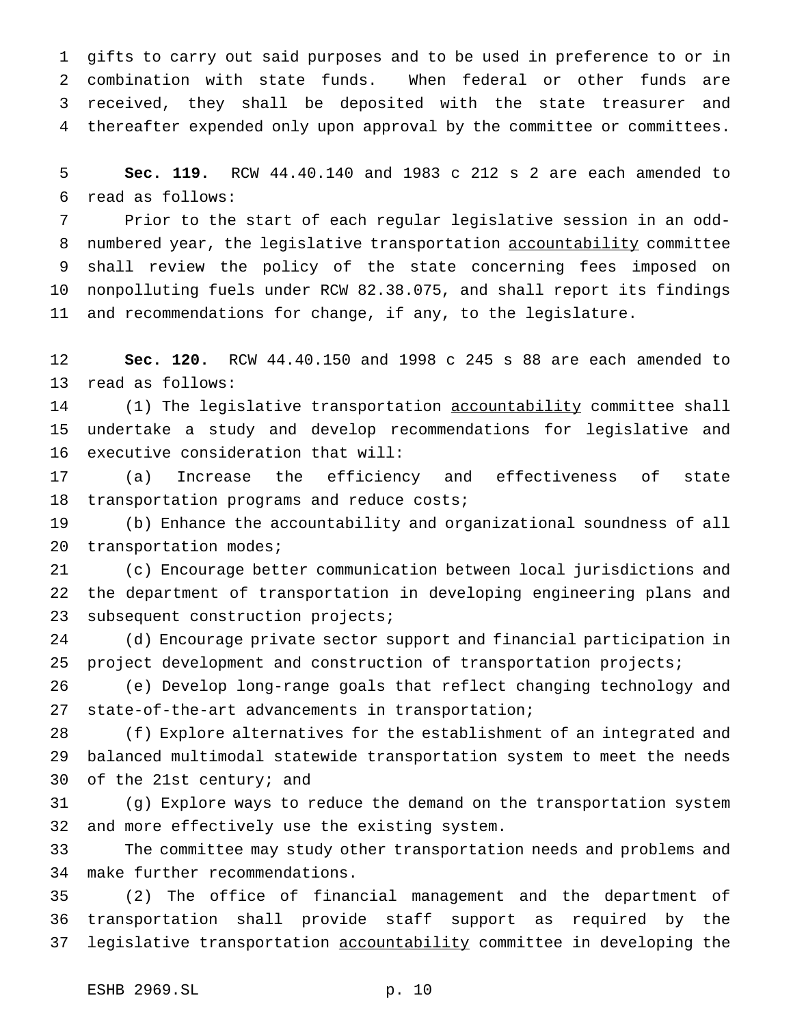gifts to carry out said purposes and to be used in preference to or in combination with state funds. When federal or other funds are received, they shall be deposited with the state treasurer and thereafter expended only upon approval by the committee or committees.

 **Sec. 119.** RCW 44.40.140 and 1983 c 212 s 2 are each amended to read as follows:

 Prior to the start of each regular legislative session in an odd-8 numbered year, the legislative transportation accountability committee shall review the policy of the state concerning fees imposed on nonpolluting fuels under RCW 82.38.075, and shall report its findings and recommendations for change, if any, to the legislature.

 **Sec. 120.** RCW 44.40.150 and 1998 c 245 s 88 are each amended to read as follows:

 (1) The legislative transportation accountability committee shall undertake a study and develop recommendations for legislative and executive consideration that will:

 (a) Increase the efficiency and effectiveness of state transportation programs and reduce costs;

 (b) Enhance the accountability and organizational soundness of all 20 transportation modes;

 (c) Encourage better communication between local jurisdictions and the department of transportation in developing engineering plans and subsequent construction projects;

 (d) Encourage private sector support and financial participation in project development and construction of transportation projects;

 (e) Develop long-range goals that reflect changing technology and state-of-the-art advancements in transportation;

 (f) Explore alternatives for the establishment of an integrated and balanced multimodal statewide transportation system to meet the needs of the 21st century; and

 (g) Explore ways to reduce the demand on the transportation system and more effectively use the existing system.

 The committee may study other transportation needs and problems and make further recommendations.

 (2) The office of financial management and the department of transportation shall provide staff support as required by the 37 legislative transportation accountability committee in developing the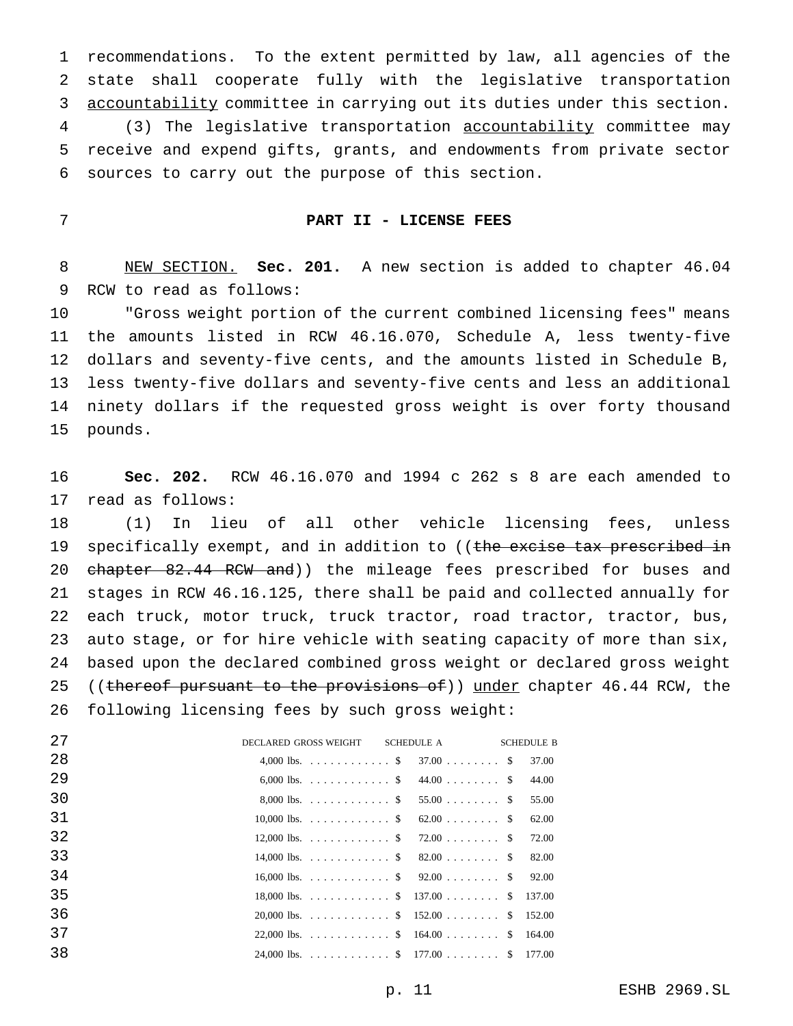recommendations. To the extent permitted by law, all agencies of the state shall cooperate fully with the legislative transportation accountability committee in carrying out its duties under this section. (3) The legislative transportation accountability committee may receive and expend gifts, grants, and endowments from private sector sources to carry out the purpose of this section.

## **PART II - LICENSE FEES**

 NEW SECTION. **Sec. 201.** A new section is added to chapter 46.04 RCW to read as follows:

 "Gross weight portion of the current combined licensing fees" means the amounts listed in RCW 46.16.070, Schedule A, less twenty-five dollars and seventy-five cents, and the amounts listed in Schedule B, less twenty-five dollars and seventy-five cents and less an additional ninety dollars if the requested gross weight is over forty thousand pounds.

 **Sec. 202.** RCW 46.16.070 and 1994 c 262 s 8 are each amended to read as follows:

 (1) In lieu of all other vehicle licensing fees, unless 19 specifically exempt, and in addition to ((the excise tax prescribed in 20 chapter 82.44 RCW and)) the mileage fees prescribed for buses and stages in RCW 46.16.125, there shall be paid and collected annually for each truck, motor truck, truck tractor, road tractor, tractor, bus, auto stage, or for hire vehicle with seating capacity of more than six, based upon the declared combined gross weight or declared gross weight 25 ((thereof pursuant to the provisions of)) under chapter 46.44 RCW, the following licensing fees by such gross weight:

| 27  | DECLARED GROSS WEIGHT SCHEDULE A | <b>SCHEDULE B</b> |
|-----|----------------------------------|-------------------|
| -28 | 4,000 lbs. \$ 37.00 \$ \$        | 37.00             |
| 29  | 6,000 lbs. \$ 44.00 \$           | 44.00             |
| 30  | 8,000 lbs. \$ 55.00 \$ \$        | 55.00             |
| 31  | 10,000 lbs. \$ 62.00 \$          | 62.00             |
| 32  | 12,000 lbs. \$ 72.00 \$ \$       | 72.00             |
| 33  | 14,000 lbs. \$ 82.00 \$ \$       | 82.00             |
| 34  | 16,000 lbs. \$ 92.00 \$ \$       | 92.00             |
| 35  | 18,000 lbs. \$ 137.00 \$ 137.00  |                   |
| 36  | 20,000 lbs. \$ 152.00 \$ 152.00  |                   |
| 37  | 22.000 lbs. \$ 164.00 \$ 164.00  |                   |
| 38  | 24,000 lbs. \$ 177.00 \$ 177.00  |                   |
|     |                                  |                   |

p. 11 ESHB 2969.SL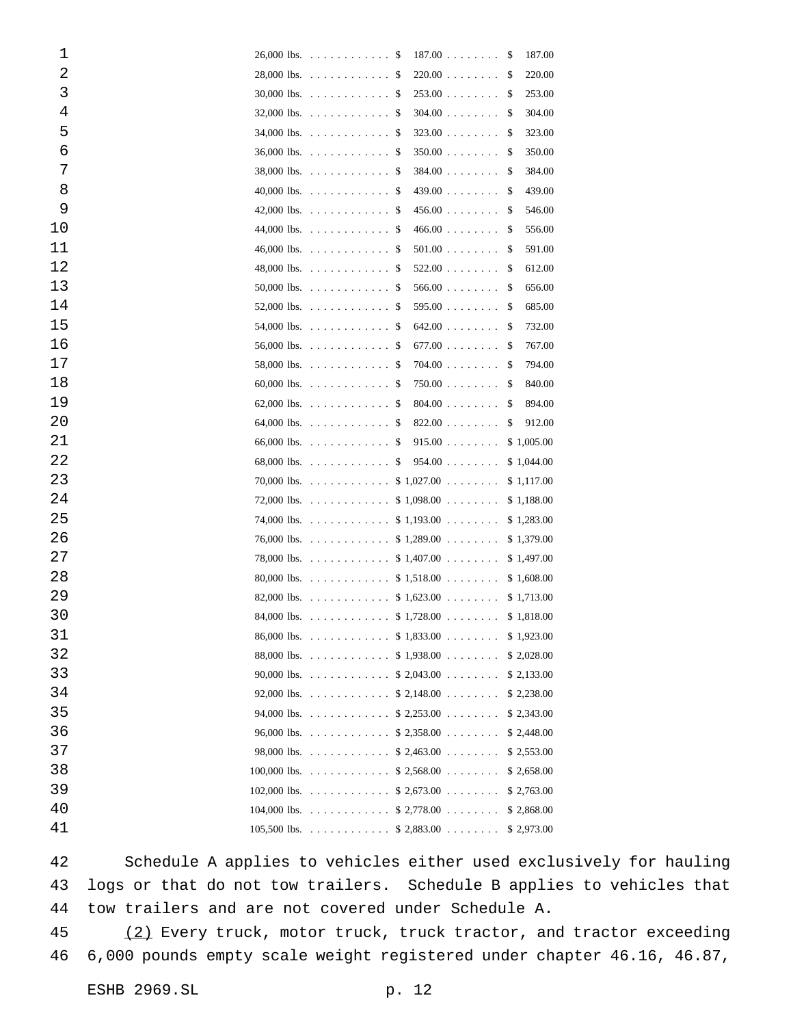| 1  |               | $26,000$ lbs.                                                                                                                                                                                                                                                                               | -S | $187.00$           | S             | 187.00      |
|----|---------------|---------------------------------------------------------------------------------------------------------------------------------------------------------------------------------------------------------------------------------------------------------------------------------------------|----|--------------------|---------------|-------------|
| 2  |               | $28,000$ lbs.                                                                                                                                                                                                                                                                               | -S | 220.00             | S             | 220.00      |
| 3  |               | $30,000$ lbs.                                                                                                                                                                                                                                                                               | -S | $253.00$           | <sup>\$</sup> | 253.00      |
| 4  |               | $32,000$ lbs.                                                                                                                                                                                                                                                                               | -S | $304.00$           | <sup>\$</sup> | 304.00      |
| 5  |               | $34,000$ lbs.                                                                                                                                                                                                                                                                               | -S | 323.00             | \$            | 323.00      |
| 6  | 36,000 lbs.   | .                                                                                                                                                                                                                                                                                           | S  | 350.00             | S             | 350.00      |
| 7  |               | $38,000$ lbs.                                                                                                                                                                                                                                                                               | -S | 384.00             | <sup>\$</sup> | 384.00      |
| 8  | 40,000 lbs.   | .                                                                                                                                                                                                                                                                                           | -S | 439.00             | S             | 439.00      |
| 9  |               | 42,000 lbs. $\ldots \ldots \ldots \ldots$                                                                                                                                                                                                                                                   | -S | 456.00             | \$            | 546.00      |
| 10 |               | 44,000 lbs. $\ldots \ldots \ldots$                                                                                                                                                                                                                                                          | S  | 466.00             | S             | 556.00      |
| 11 |               | $46,000$ lbs.                                                                                                                                                                                                                                                                               | -S | $501.00$           | <sup>\$</sup> | 591.00      |
| 12 | 48,000 lbs.   | .                                                                                                                                                                                                                                                                                           | -S | $522.00$           | S             | 612.00      |
| 13 |               | 50,000 lbs. $\ldots \ldots \ldots \ldots$                                                                                                                                                                                                                                                   | -S | 566.00             | \$            | 656.00      |
| 14 | 52,000 lbs.   | .                                                                                                                                                                                                                                                                                           | S  | $595.00$           | S             | 685.00      |
| 15 | 54,000 lbs.   | .                                                                                                                                                                                                                                                                                           | -S | 642.00             | \$            | 732.00      |
| 16 | 56,000 lbs.   | .                                                                                                                                                                                                                                                                                           | -S | $677.00$           | S             | 767.00      |
| 17 |               | $58,000$ lbs.                                                                                                                                                                                                                                                                               | S  | 704.00             | \$            | 794.00      |
| 18 | $60,000$ lbs. | .                                                                                                                                                                                                                                                                                           | S  | $750.00$           | \$            | 840.00      |
| 19 |               | 62,000 lbs. $\ldots \ldots \ldots \ldots$                                                                                                                                                                                                                                                   | S  | 804.00             | \$            | 894.00      |
| 20 | 64,000 lbs.   | .                                                                                                                                                                                                                                                                                           | S  | 822.00             | \$            | 912.00      |
| 21 |               | 66,000 lbs. $\ldots \ldots \ldots \ldots$                                                                                                                                                                                                                                                   | S  | 915.00             |               | \$1,005.00  |
| 22 |               | $68,000$ lbs.                                                                                                                                                                                                                                                                               | \$ | 954.00             |               | \$1,044.00  |
| 23 | 70,000 lbs.   | .                                                                                                                                                                                                                                                                                           |    | $$1,027.00$        |               | \$1,117.00  |
| 24 | 72,000 lbs.   | $\mathcal{L} \left( \mathcal{L} \left( \mathcal{L} \right) \right) \left( \mathcal{L} \left( \mathcal{L} \right) \right) \left( \mathcal{L} \left( \mathcal{L} \right) \right) \left( \mathcal{L} \left( \mathcal{L} \right) \right) \left( \mathcal{L} \left( \mathcal{L} \right) \right)$ |    | $$1,098.00$        |               | \$1,188.00  |
| 25 |               | 74,000 lbs. $\ldots \ldots \ldots \ldots$                                                                                                                                                                                                                                                   |    | \$1,193.00         |               | \$1,283.00  |
| 26 |               | $76,000$ lbs.                                                                                                                                                                                                                                                                               |    | $$1,289.00$        |               | \$1,379.00  |
| 27 | 78,000 lbs.   | .                                                                                                                                                                                                                                                                                           |    | \$1,407.00         |               | \$1,497.00  |
| 28 | 80,000 lbs.   | .                                                                                                                                                                                                                                                                                           |    | $$1,518.00 \ldots$ |               | \$1,608.00  |
| 29 | 82,000 lbs.   | $\ldots \ldots \ldots \quad $1,623.00 \ldots \ldots$                                                                                                                                                                                                                                        |    |                    |               | \$1,713.00  |
| 30 |               | 84,000 lbs. \$ 1,728.00                                                                                                                                                                                                                                                                     |    |                    |               | \$1,818.00  |
| 31 |               | 86,000 lbs. \$ 1,833.00                                                                                                                                                                                                                                                                     |    |                    |               | \$1,923.00  |
| 32 |               | 88,000 lbs. \$ 1,938.00                                                                                                                                                                                                                                                                     |    |                    |               | \$2,028.00  |
| 33 |               | 90,000 lbs. \$ 2,043.00                                                                                                                                                                                                                                                                     |    |                    |               | \$2,133.00  |
| 34 |               | 92,000 lbs. \$ 2,148.00                                                                                                                                                                                                                                                                     |    |                    |               | \$ 2,238.00 |
| 35 |               | 94,000 lbs. \$ 2,253.00                                                                                                                                                                                                                                                                     |    |                    |               | \$ 2,343.00 |
| 36 |               | 96,000 lbs. \$ 2,358.00                                                                                                                                                                                                                                                                     |    |                    |               | \$ 2,448.00 |
| 37 |               | 98,000 lbs. \$ 2,463.00                                                                                                                                                                                                                                                                     |    |                    |               | \$ 2,553.00 |
| 38 |               | 100,000 lbs. \$ 2,568.00                                                                                                                                                                                                                                                                    |    |                    |               | \$ 2,658.00 |
| 39 |               | 102,000 lbs. \$ 2,673.00                                                                                                                                                                                                                                                                    |    |                    |               | \$ 2,763.00 |
| 40 |               | 104,000 lbs. \$ 2,778.00                                                                                                                                                                                                                                                                    |    |                    |               | \$2,868.00  |
| 41 |               | 105,500 lbs. \$ 2,883.00                                                                                                                                                                                                                                                                    |    |                    |               | \$2,973.00  |
|    |               |                                                                                                                                                                                                                                                                                             |    |                    |               |             |

 Schedule A applies to vehicles either used exclusively for hauling logs or that do not tow trailers. Schedule B applies to vehicles that tow trailers and are not covered under Schedule A.

45 (2) Every truck, motor truck, truck tractor, and tractor exceeding 6,000 pounds empty scale weight registered under chapter 46.16, 46.87,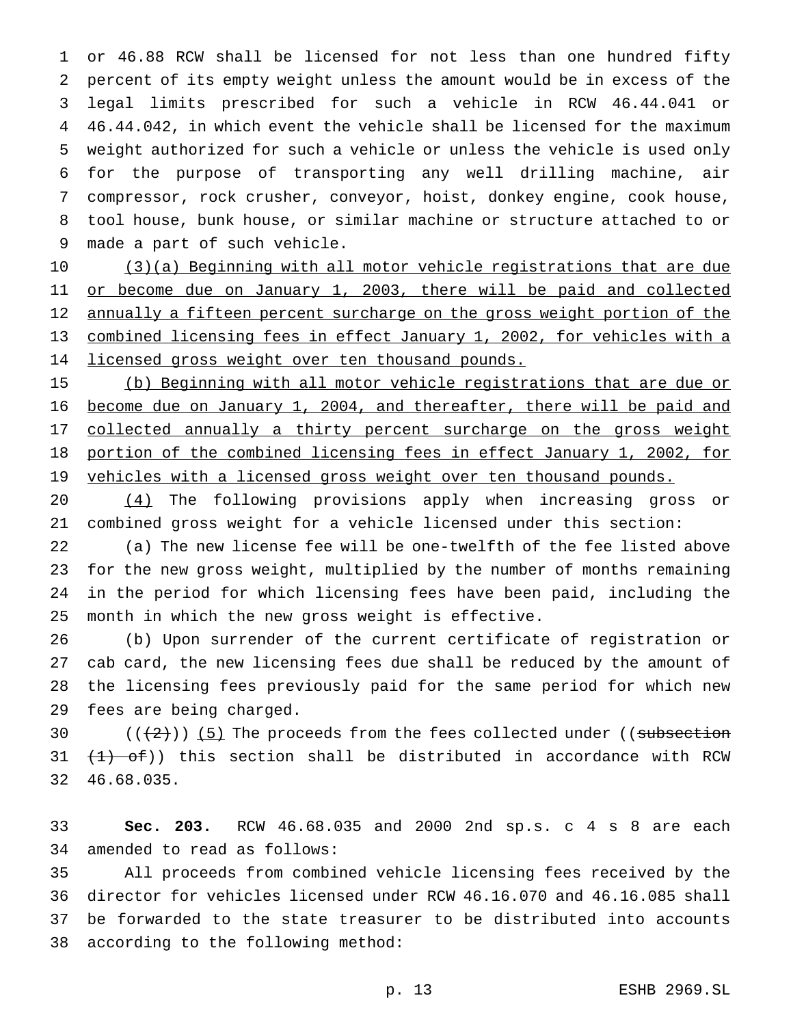or 46.88 RCW shall be licensed for not less than one hundred fifty percent of its empty weight unless the amount would be in excess of the legal limits prescribed for such a vehicle in RCW 46.44.041 or 46.44.042, in which event the vehicle shall be licensed for the maximum weight authorized for such a vehicle or unless the vehicle is used only for the purpose of transporting any well drilling machine, air compressor, rock crusher, conveyor, hoist, donkey engine, cook house, tool house, bunk house, or similar machine or structure attached to or made a part of such vehicle.

 (3)(a) Beginning with all motor vehicle registrations that are due 11 or become due on January 1, 2003, there will be paid and collected 12 annually a fifteen percent surcharge on the gross weight portion of the combined licensing fees in effect January 1, 2002, for vehicles with a 14 licensed gross weight over ten thousand pounds.

 (b) Beginning with all motor vehicle registrations that are due or become due on January 1, 2004, and thereafter, there will be paid and 17 collected annually a thirty percent surcharge on the gross weight portion of the combined licensing fees in effect January 1, 2002, for 19 vehicles with a licensed gross weight over ten thousand pounds.

 (4) The following provisions apply when increasing gross or combined gross weight for a vehicle licensed under this section:

 (a) The new license fee will be one-twelfth of the fee listed above for the new gross weight, multiplied by the number of months remaining in the period for which licensing fees have been paid, including the month in which the new gross weight is effective.

 (b) Upon surrender of the current certificate of registration or cab card, the new licensing fees due shall be reduced by the amount of the licensing fees previously paid for the same period for which new fees are being charged.

30  $((+2))$  (5) The proceeds from the fees collected under ((subsection 31  $(1)$  of)) this section shall be distributed in accordance with RCW 46.68.035.

 **Sec. 203.** RCW 46.68.035 and 2000 2nd sp.s. c 4 s 8 are each amended to read as follows:

 All proceeds from combined vehicle licensing fees received by the director for vehicles licensed under RCW 46.16.070 and 46.16.085 shall be forwarded to the state treasurer to be distributed into accounts according to the following method: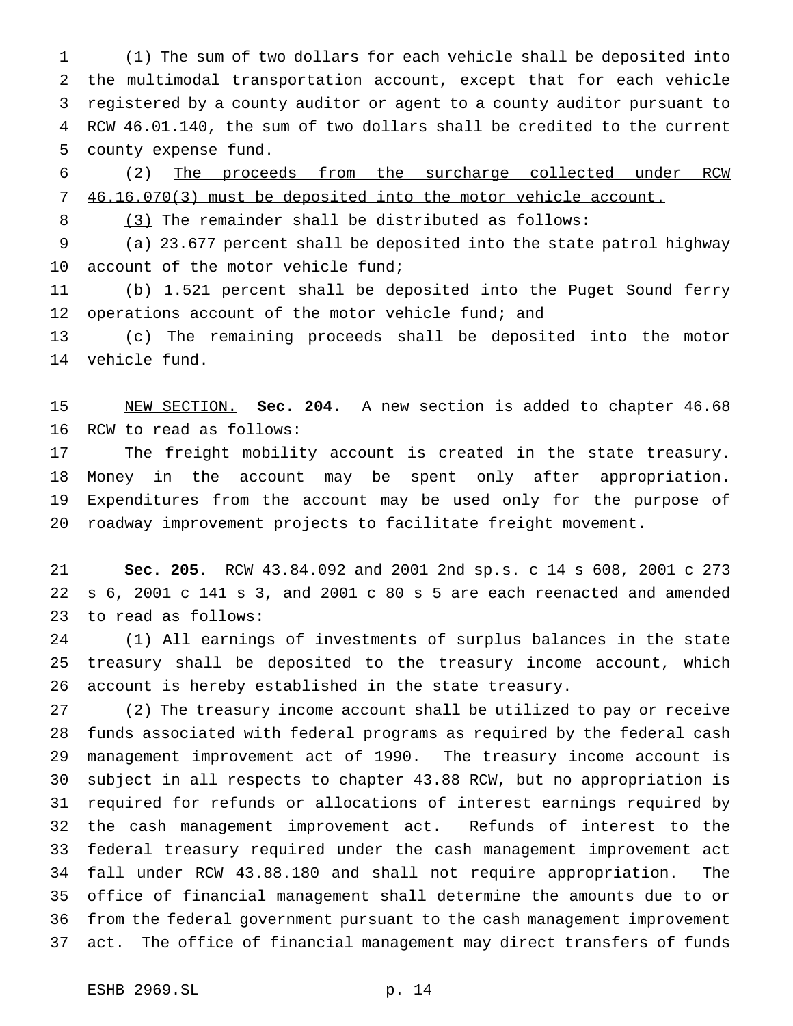(1) The sum of two dollars for each vehicle shall be deposited into the multimodal transportation account, except that for each vehicle registered by a county auditor or agent to a county auditor pursuant to RCW 46.01.140, the sum of two dollars shall be credited to the current county expense fund.

 (2) The proceeds from the surcharge collected under RCW 46.16.070(3) must be deposited into the motor vehicle account.

8 (3) The remainder shall be distributed as follows:

 (a) 23.677 percent shall be deposited into the state patrol highway 10 account of the motor vehicle fund;

 (b) 1.521 percent shall be deposited into the Puget Sound ferry 12 operations account of the motor vehicle fund; and

 (c) The remaining proceeds shall be deposited into the motor vehicle fund.

 NEW SECTION. **Sec. 204.** A new section is added to chapter 46.68 RCW to read as follows:

 The freight mobility account is created in the state treasury. Money in the account may be spent only after appropriation. Expenditures from the account may be used only for the purpose of roadway improvement projects to facilitate freight movement.

 **Sec. 205.** RCW 43.84.092 and 2001 2nd sp.s. c 14 s 608, 2001 c 273 s 6, 2001 c 141 s 3, and 2001 c 80 s 5 are each reenacted and amended to read as follows:

 (1) All earnings of investments of surplus balances in the state treasury shall be deposited to the treasury income account, which account is hereby established in the state treasury.

 (2) The treasury income account shall be utilized to pay or receive funds associated with federal programs as required by the federal cash management improvement act of 1990. The treasury income account is subject in all respects to chapter 43.88 RCW, but no appropriation is required for refunds or allocations of interest earnings required by the cash management improvement act. Refunds of interest to the federal treasury required under the cash management improvement act fall under RCW 43.88.180 and shall not require appropriation. The office of financial management shall determine the amounts due to or from the federal government pursuant to the cash management improvement act. The office of financial management may direct transfers of funds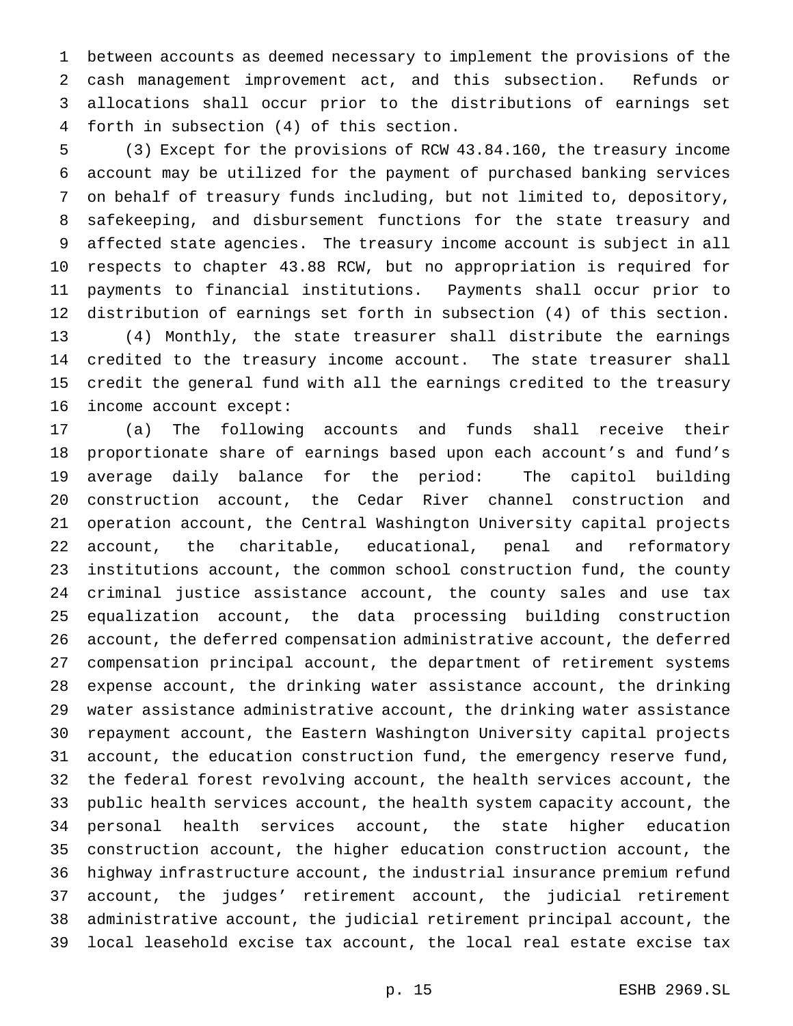between accounts as deemed necessary to implement the provisions of the cash management improvement act, and this subsection. Refunds or allocations shall occur prior to the distributions of earnings set forth in subsection (4) of this section.

 (3) Except for the provisions of RCW 43.84.160, the treasury income account may be utilized for the payment of purchased banking services on behalf of treasury funds including, but not limited to, depository, safekeeping, and disbursement functions for the state treasury and affected state agencies. The treasury income account is subject in all respects to chapter 43.88 RCW, but no appropriation is required for payments to financial institutions. Payments shall occur prior to distribution of earnings set forth in subsection (4) of this section. (4) Monthly, the state treasurer shall distribute the earnings credited to the treasury income account. The state treasurer shall credit the general fund with all the earnings credited to the treasury income account except:

 (a) The following accounts and funds shall receive their proportionate share of earnings based upon each account's and fund's average daily balance for the period: The capitol building construction account, the Cedar River channel construction and operation account, the Central Washington University capital projects account, the charitable, educational, penal and reformatory institutions account, the common school construction fund, the county criminal justice assistance account, the county sales and use tax equalization account, the data processing building construction account, the deferred compensation administrative account, the deferred compensation principal account, the department of retirement systems expense account, the drinking water assistance account, the drinking water assistance administrative account, the drinking water assistance repayment account, the Eastern Washington University capital projects account, the education construction fund, the emergency reserve fund, the federal forest revolving account, the health services account, the public health services account, the health system capacity account, the personal health services account, the state higher education construction account, the higher education construction account, the highway infrastructure account, the industrial insurance premium refund account, the judges' retirement account, the judicial retirement administrative account, the judicial retirement principal account, the local leasehold excise tax account, the local real estate excise tax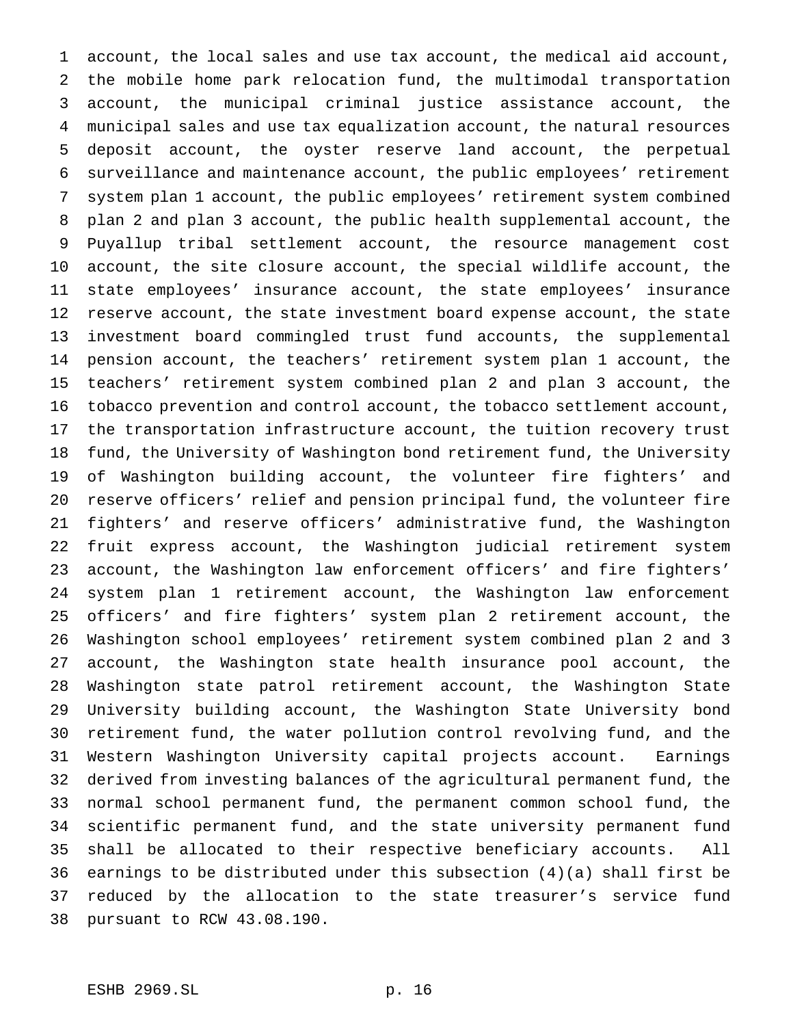account, the local sales and use tax account, the medical aid account, the mobile home park relocation fund, the multimodal transportation account, the municipal criminal justice assistance account, the municipal sales and use tax equalization account, the natural resources deposit account, the oyster reserve land account, the perpetual surveillance and maintenance account, the public employees' retirement system plan 1 account, the public employees' retirement system combined plan 2 and plan 3 account, the public health supplemental account, the Puyallup tribal settlement account, the resource management cost account, the site closure account, the special wildlife account, the state employees' insurance account, the state employees' insurance reserve account, the state investment board expense account, the state investment board commingled trust fund accounts, the supplemental pension account, the teachers' retirement system plan 1 account, the teachers' retirement system combined plan 2 and plan 3 account, the tobacco prevention and control account, the tobacco settlement account, the transportation infrastructure account, the tuition recovery trust fund, the University of Washington bond retirement fund, the University of Washington building account, the volunteer fire fighters' and reserve officers' relief and pension principal fund, the volunteer fire fighters' and reserve officers' administrative fund, the Washington fruit express account, the Washington judicial retirement system account, the Washington law enforcement officers' and fire fighters' system plan 1 retirement account, the Washington law enforcement officers' and fire fighters' system plan 2 retirement account, the Washington school employees' retirement system combined plan 2 and 3 account, the Washington state health insurance pool account, the Washington state patrol retirement account, the Washington State University building account, the Washington State University bond retirement fund, the water pollution control revolving fund, and the Western Washington University capital projects account. Earnings derived from investing balances of the agricultural permanent fund, the normal school permanent fund, the permanent common school fund, the scientific permanent fund, and the state university permanent fund shall be allocated to their respective beneficiary accounts. All earnings to be distributed under this subsection (4)(a) shall first be reduced by the allocation to the state treasurer's service fund pursuant to RCW 43.08.190.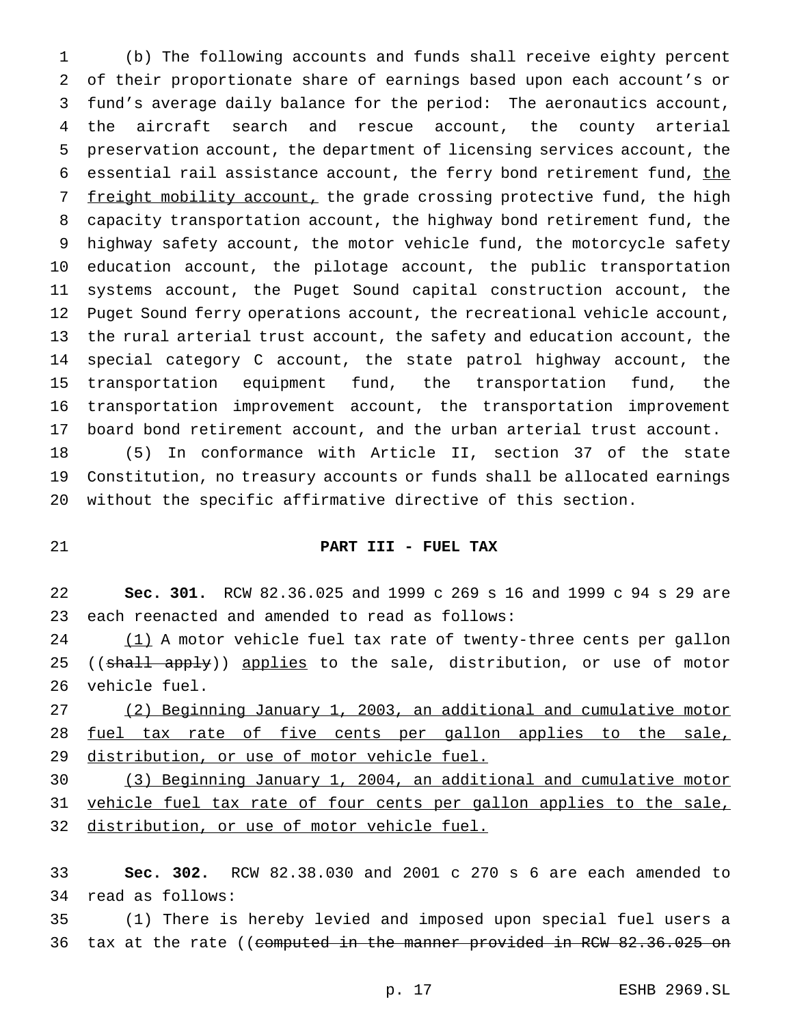(b) The following accounts and funds shall receive eighty percent of their proportionate share of earnings based upon each account's or fund's average daily balance for the period: The aeronautics account, the aircraft search and rescue account, the county arterial preservation account, the department of licensing services account, the 6 essential rail assistance account, the ferry bond retirement fund, the 7 <u>freight mobility account,</u> the grade crossing protective fund, the high capacity transportation account, the highway bond retirement fund, the highway safety account, the motor vehicle fund, the motorcycle safety education account, the pilotage account, the public transportation systems account, the Puget Sound capital construction account, the Puget Sound ferry operations account, the recreational vehicle account, the rural arterial trust account, the safety and education account, the special category C account, the state patrol highway account, the transportation equipment fund, the transportation fund, the transportation improvement account, the transportation improvement board bond retirement account, and the urban arterial trust account.

 (5) In conformance with Article II, section 37 of the state Constitution, no treasury accounts or funds shall be allocated earnings without the specific affirmative directive of this section.

#### **PART III - FUEL TAX**

 **Sec. 301.** RCW 82.36.025 and 1999 c 269 s 16 and 1999 c 94 s 29 are each reenacted and amended to read as follows:

24 (1) A motor vehicle fuel tax rate of twenty-three cents per gallon 25 ((shall apply)) applies to the sale, distribution, or use of motor vehicle fuel.

 (2) Beginning January 1, 2003, an additional and cumulative motor 28 fuel tax rate of five cents per gallon applies to the sale, distribution, or use of motor vehicle fuel.

 (3) Beginning January 1, 2004, an additional and cumulative motor 31 vehicle fuel tax rate of four cents per gallon applies to the sale, distribution, or use of motor vehicle fuel.

 **Sec. 302.** RCW 82.38.030 and 2001 c 270 s 6 are each amended to read as follows:

 (1) There is hereby levied and imposed upon special fuel users a 36 tax at the rate ((<del>computed in the manner provided in RCW 82.36.025 on</del>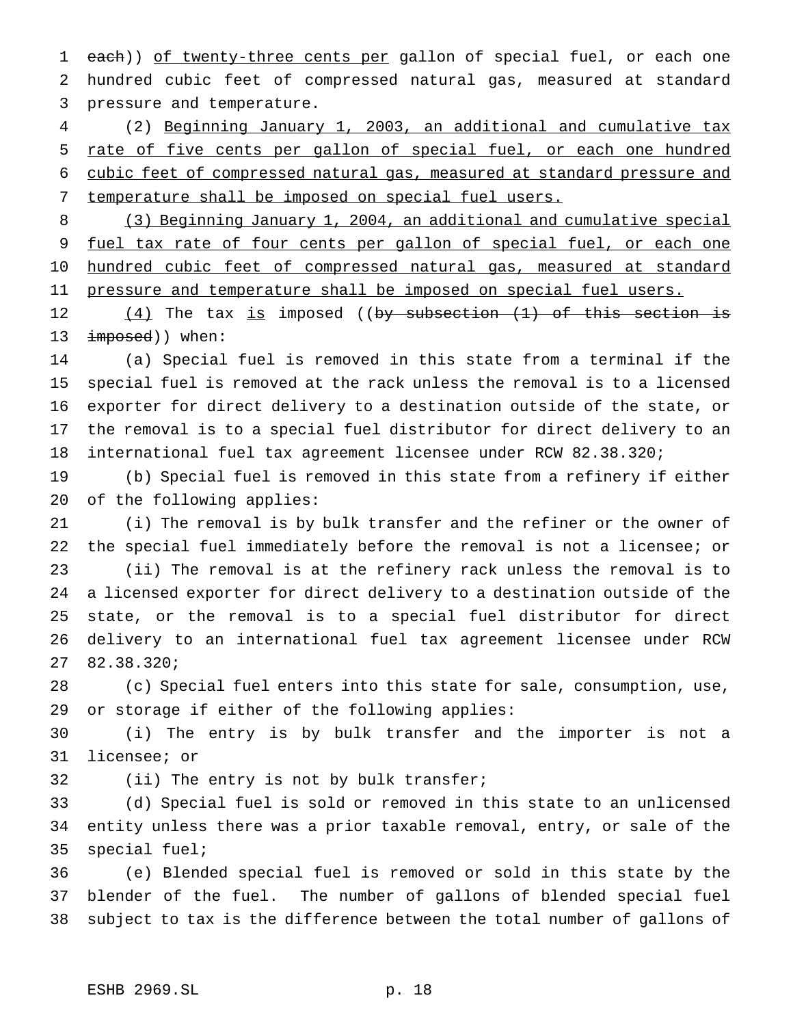1 each)) of twenty-three cents per gallon of special fuel, or each one hundred cubic feet of compressed natural gas, measured at standard pressure and temperature.

 (2) Beginning January 1, 2003, an additional and cumulative tax rate of five cents per gallon of special fuel, or each one hundred cubic feet of compressed natural gas, measured at standard pressure and temperature shall be imposed on special fuel users.

 (3) Beginning January 1, 2004, an additional and cumulative special 9 fuel tax rate of four cents per gallon of special fuel, or each one 10 hundred cubic feet of compressed natural gas, measured at standard 11 pressure and temperature shall be imposed on special fuel users.

12 (4) The tax is imposed ((by subsection (1) of this section is 13 imposed)) when:

 (a) Special fuel is removed in this state from a terminal if the special fuel is removed at the rack unless the removal is to a licensed exporter for direct delivery to a destination outside of the state, or the removal is to a special fuel distributor for direct delivery to an international fuel tax agreement licensee under RCW 82.38.320;

 (b) Special fuel is removed in this state from a refinery if either of the following applies:

 (i) The removal is by bulk transfer and the refiner or the owner of the special fuel immediately before the removal is not a licensee; or (ii) The removal is at the refinery rack unless the removal is to a licensed exporter for direct delivery to a destination outside of the state, or the removal is to a special fuel distributor for direct delivery to an international fuel tax agreement licensee under RCW 82.38.320;

 (c) Special fuel enters into this state for sale, consumption, use, or storage if either of the following applies:

 (i) The entry is by bulk transfer and the importer is not a licensee; or

32 (ii) The entry is not by bulk transfer;

 (d) Special fuel is sold or removed in this state to an unlicensed entity unless there was a prior taxable removal, entry, or sale of the special fuel;

 (e) Blended special fuel is removed or sold in this state by the blender of the fuel. The number of gallons of blended special fuel subject to tax is the difference between the total number of gallons of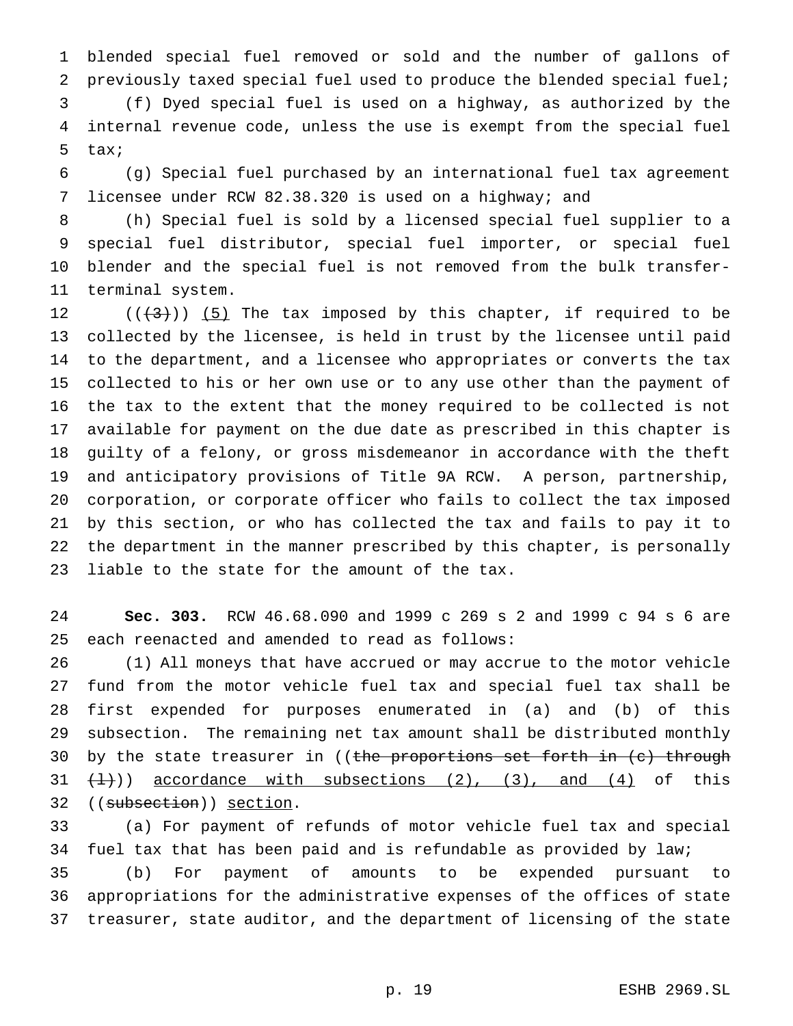blended special fuel removed or sold and the number of gallons of previously taxed special fuel used to produce the blended special fuel;

 (f) Dyed special fuel is used on a highway, as authorized by the internal revenue code, unless the use is exempt from the special fuel tax;

 (g) Special fuel purchased by an international fuel tax agreement licensee under RCW 82.38.320 is used on a highway; and

 (h) Special fuel is sold by a licensed special fuel supplier to a special fuel distributor, special fuel importer, or special fuel blender and the special fuel is not removed from the bulk transfer-terminal system.

 $((+3))$   $(5)$  The tax imposed by this chapter, if required to be collected by the licensee, is held in trust by the licensee until paid to the department, and a licensee who appropriates or converts the tax collected to his or her own use or to any use other than the payment of the tax to the extent that the money required to be collected is not available for payment on the due date as prescribed in this chapter is guilty of a felony, or gross misdemeanor in accordance with the theft and anticipatory provisions of Title 9A RCW. A person, partnership, corporation, or corporate officer who fails to collect the tax imposed by this section, or who has collected the tax and fails to pay it to the department in the manner prescribed by this chapter, is personally liable to the state for the amount of the tax.

 **Sec. 303.** RCW 46.68.090 and 1999 c 269 s 2 and 1999 c 94 s 6 are each reenacted and amended to read as follows:

 (1) All moneys that have accrued or may accrue to the motor vehicle fund from the motor vehicle fuel tax and special fuel tax shall be first expended for purposes enumerated in (a) and (b) of this subsection. The remaining net tax amount shall be distributed monthly 30 by the state treasurer in ((the proportions set forth in (c) through  $(1)$ ) accordance with subsections (2), (3), and (4) of this 32 ((subsection)) section.

 (a) For payment of refunds of motor vehicle fuel tax and special fuel tax that has been paid and is refundable as provided by law; (b) For payment of amounts to be expended pursuant to appropriations for the administrative expenses of the offices of state treasurer, state auditor, and the department of licensing of the state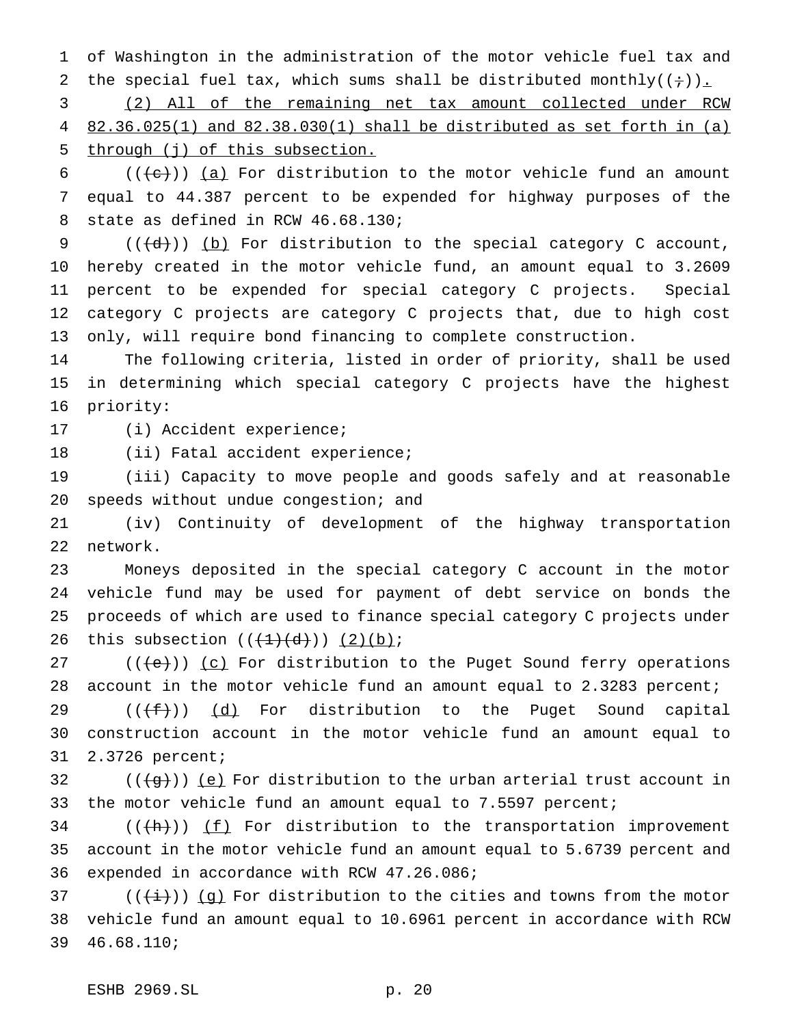of Washington in the administration of the motor vehicle fuel tax and 2 the special fuel tax, which sums shall be distributed monthly( $(+)$ ).

 (2) All of the remaining net tax amount collected under RCW 82.36.025(1) and 82.38.030(1) shall be distributed as set forth in (a) through (j) of this subsection.

6 ( $(\langle e \rangle)$ ) (a) For distribution to the motor vehicle fund an amount equal to 44.387 percent to be expended for highway purposes of the state as defined in RCW 46.68.130;

 $((\{d\})\)$  (b) For distribution to the special category C account, hereby created in the motor vehicle fund, an amount equal to 3.2609 percent to be expended for special category C projects. Special category C projects are category C projects that, due to high cost only, will require bond financing to complete construction.

 The following criteria, listed in order of priority, shall be used in determining which special category C projects have the highest priority:

(i) Accident experience;

(ii) Fatal accident experience;

 (iii) Capacity to move people and goods safely and at reasonable speeds without undue congestion; and

 (iv) Continuity of development of the highway transportation network.

 Moneys deposited in the special category C account in the motor vehicle fund may be used for payment of debt service on bonds the proceeds of which are used to finance special category C projects under 26 this subsection  $((+1)+(d)) (2)(b)$ ;

 $((e))$   $(c)$  For distribution to the Puget Sound ferry operations account in the motor vehicle fund an amount equal to 2.3283 percent;

29  $((f+))$   $(d)$  For distribution to the Puget Sound capital construction account in the motor vehicle fund an amount equal to 2.3726 percent;

 (( $\left(\frac{1}{9}i\right)$ ) (e) For distribution to the urban arterial trust account in the motor vehicle fund an amount equal to 7.5597 percent;

 (( $\left(\frac{h}{h}\right)$ ) <u>(f)</u> For distribution to the transportation improvement account in the motor vehicle fund an amount equal to 5.6739 percent and expended in accordance with RCW 47.26.086;

37 ( $(\frac{1}{i})$ ) (g) For distribution to the cities and towns from the motor vehicle fund an amount equal to 10.6961 percent in accordance with RCW 46.68.110;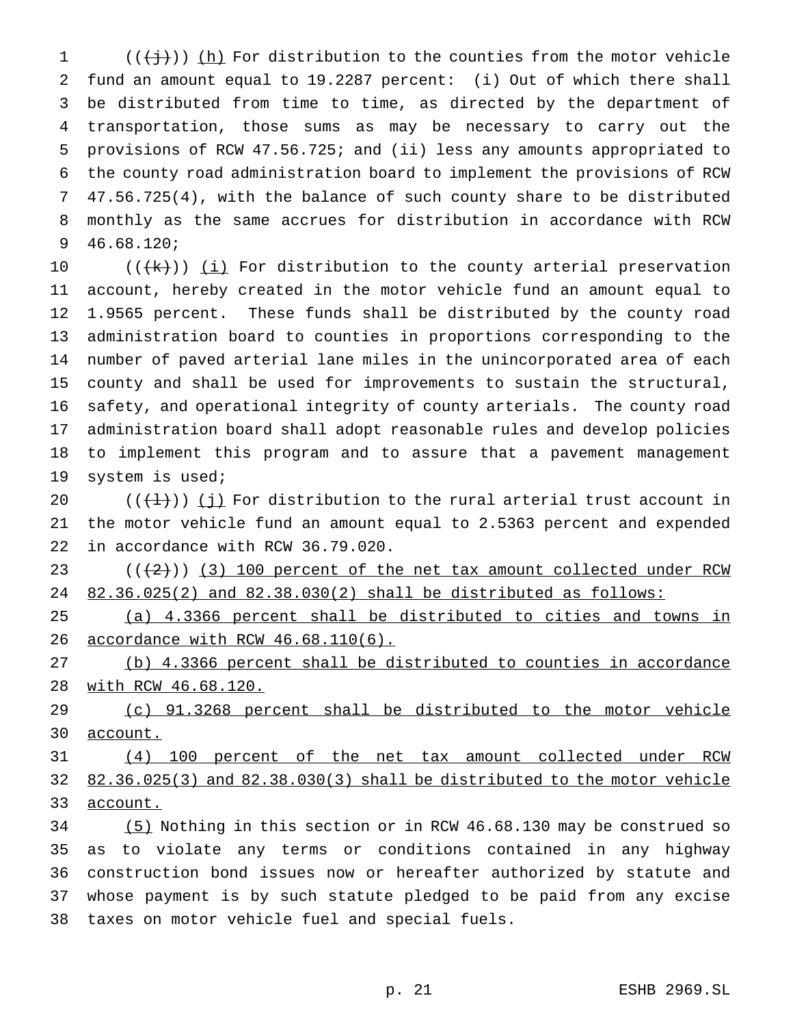$((\{\dagger\})\)$  (h) For distribution to the counties from the motor vehicle fund an amount equal to 19.2287 percent: (i) Out of which there shall be distributed from time to time, as directed by the department of transportation, those sums as may be necessary to carry out the provisions of RCW 47.56.725; and (ii) less any amounts appropriated to the county road administration board to implement the provisions of RCW 47.56.725(4), with the balance of such county share to be distributed monthly as the same accrues for distribution in accordance with RCW 46.68.120;

 $((+k))$   $(i)$  For distribution to the county arterial preservation account, hereby created in the motor vehicle fund an amount equal to 1.9565 percent. These funds shall be distributed by the county road administration board to counties in proportions corresponding to the number of paved arterial lane miles in the unincorporated area of each county and shall be used for improvements to sustain the structural, safety, and operational integrity of county arterials. The county road administration board shall adopt reasonable rules and develop policies to implement this program and to assure that a pavement management system is used;

20  $((+1))$  (j) For distribution to the rural arterial trust account in the motor vehicle fund an amount equal to 2.5363 percent and expended in accordance with RCW 36.79.020.

 $(1+2)$  ( $(2)$ ) (3) 100 percent of the net tax amount collected under RCW 82.36.025(2) and 82.38.030(2) shall be distributed as follows:

 (a) 4.3366 percent shall be distributed to cities and towns in accordance with RCW 46.68.110(6).

 (b) 4.3366 percent shall be distributed to counties in accordance with RCW 46.68.120.

 (c) 91.3268 percent shall be distributed to the motor vehicle account.

 (4) 100 percent of the net tax amount collected under RCW 82.36.025(3) and 82.38.030(3) shall be distributed to the motor vehicle account.

 (5) Nothing in this section or in RCW 46.68.130 may be construed so as to violate any terms or conditions contained in any highway construction bond issues now or hereafter authorized by statute and whose payment is by such statute pledged to be paid from any excise taxes on motor vehicle fuel and special fuels.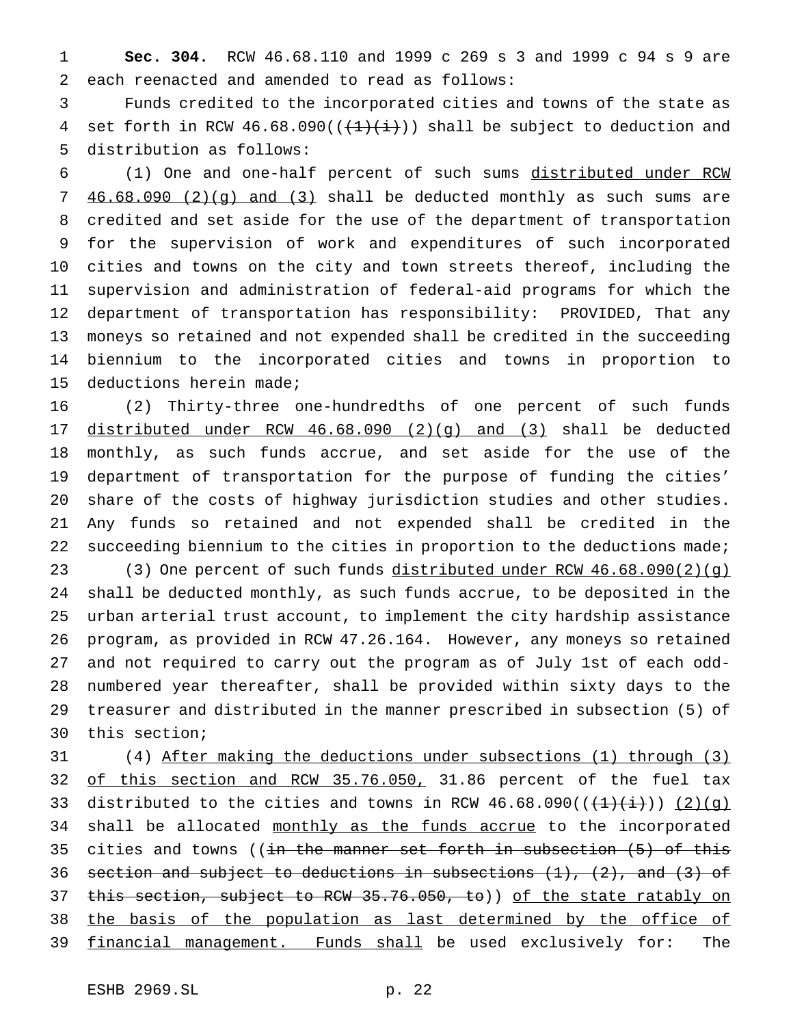**Sec. 304.** RCW 46.68.110 and 1999 c 269 s 3 and 1999 c 94 s 9 are each reenacted and amended to read as follows:

 Funds credited to the incorporated cities and towns of the state as 4 set forth in RCW 46.68.090( $(\frac{1}{1}, \frac{1}{1})$ ) shall be subject to deduction and distribution as follows:

 (1) One and one-half percent of such sums distributed under RCW 46.68.090 (2)(g) and (3) shall be deducted monthly as such sums are credited and set aside for the use of the department of transportation for the supervision of work and expenditures of such incorporated cities and towns on the city and town streets thereof, including the supervision and administration of federal-aid programs for which the department of transportation has responsibility: PROVIDED, That any moneys so retained and not expended shall be credited in the succeeding biennium to the incorporated cities and towns in proportion to deductions herein made;

 (2) Thirty-three one-hundredths of one percent of such funds distributed under RCW 46.68.090 (2)(g) and (3) shall be deducted monthly, as such funds accrue, and set aside for the use of the department of transportation for the purpose of funding the cities' share of the costs of highway jurisdiction studies and other studies. Any funds so retained and not expended shall be credited in the 22 succeeding biennium to the cities in proportion to the deductions made; (3) One percent of such funds distributed under RCW 46.68.090(2)(g) shall be deducted monthly, as such funds accrue, to be deposited in the urban arterial trust account, to implement the city hardship assistance program, as provided in RCW 47.26.164. However, any moneys so retained and not required to carry out the program as of July 1st of each odd- numbered year thereafter, shall be provided within sixty days to the treasurer and distributed in the manner prescribed in subsection (5) of this section;

 (4) After making the deductions under subsections (1) through (3) 32 of this section and RCW 35.76.050, 31.86 percent of the fuel tax 33 distributed to the cities and towns in RCW  $46.68.090((\frac{1}{(1)}(\frac{1}{i})) (2)(q)$ 34 shall be allocated monthly as the funds accrue to the incorporated 35 cities and towns ((in the manner set forth in subsection  $(5)$  of this 36 section and subject to deductions in subsections  $(1)$ ,  $(2)$ , and  $(3)$  of 37 this section, subject to RCW 35.76.050, to)) of the state ratably on the basis of the population as last determined by the office of 39 financial management. Funds shall be used exclusively for: The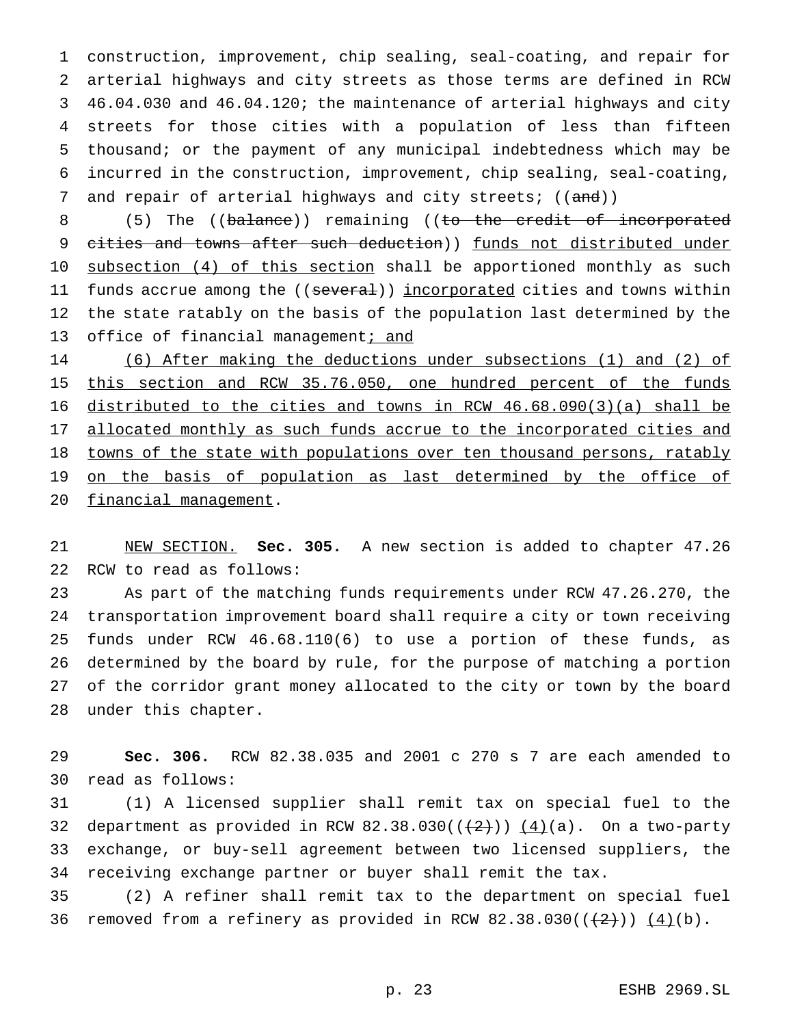construction, improvement, chip sealing, seal-coating, and repair for arterial highways and city streets as those terms are defined in RCW 46.04.030 and 46.04.120; the maintenance of arterial highways and city streets for those cities with a population of less than fifteen thousand; or the payment of any municipal indebtedness which may be incurred in the construction, improvement, chip sealing, seal-coating, 7 and repair of arterial highways and city streets; ((and))

8 (5) The ((balance)) remaining ((to the credit of incorporated 9 cities and towns after such deduction)) funds not distributed under 10 subsection (4) of this section shall be apportioned monthly as such 11 funds accrue among the ((several)) incorporated cities and towns within the state ratably on the basis of the population last determined by the 13 office of financial management; and

 (6) After making the deductions under subsections (1) and (2) of 15 this section and RCW 35.76.050, one hundred percent of the funds distributed to the cities and towns in RCW 46.68.090(3)(a) shall be 17 allocated monthly as such funds accrue to the incorporated cities and 18 towns of the state with populations over ten thousand persons, ratably 19 on the basis of population as last determined by the office of financial management.

 NEW SECTION. **Sec. 305.** A new section is added to chapter 47.26 RCW to read as follows:

 As part of the matching funds requirements under RCW 47.26.270, the transportation improvement board shall require a city or town receiving funds under RCW 46.68.110(6) to use a portion of these funds, as determined by the board by rule, for the purpose of matching a portion of the corridor grant money allocated to the city or town by the board under this chapter.

 **Sec. 306.** RCW 82.38.035 and 2001 c 270 s 7 are each amended to read as follows:

 (1) A licensed supplier shall remit tax on special fuel to the 32 department as provided in RCW 82.38.030( $(\frac{2}{1})$ )  $(4)(a)$ . On a two-party exchange, or buy-sell agreement between two licensed suppliers, the receiving exchange partner or buyer shall remit the tax.

 (2) A refiner shall remit tax to the department on special fuel 36 removed from a refinery as provided in RCW  $82.38.030((\frac{2}{1}))(\frac{4}{1})$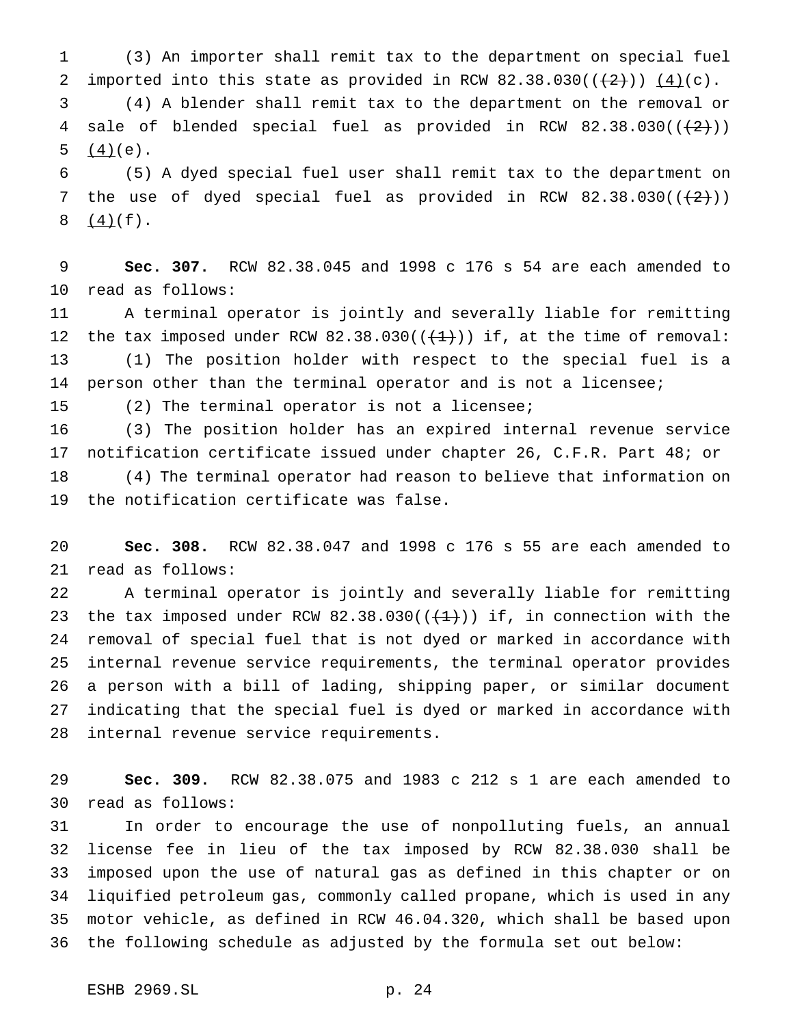(3) An importer shall remit tax to the department on special fuel 2 imported into this state as provided in RCW 82.38.030( $(\frac{2}{2})$ )  $(4)(c)$ .

 (4) A blender shall remit tax to the department on the removal or 4 sale of blended special fuel as provided in RCW  $82.38.030((+2))$ 5  $(4)(e)$ .

 (5) A dyed special fuel user shall remit tax to the department on 7 the use of dyed special fuel as provided in RCW  $82.38.030((\frac{2}{12}))$  $8 \frac{(4)}{(f)}.$ 

 **Sec. 307.** RCW 82.38.045 and 1998 c 176 s 54 are each amended to read as follows:

 A terminal operator is jointly and severally liable for remitting 12 the tax imposed under RCW  $82.38.030((\leftarrow +1))$  if, at the time of removal: (1) The position holder with respect to the special fuel is a person other than the terminal operator and is not a licensee;

(2) The terminal operator is not a licensee;

 (3) The position holder has an expired internal revenue service notification certificate issued under chapter 26, C.F.R. Part 48; or (4) The terminal operator had reason to believe that information on the notification certificate was false.

 **Sec. 308.** RCW 82.38.047 and 1998 c 176 s 55 are each amended to read as follows:

 A terminal operator is jointly and severally liable for remitting 23 the tax imposed under RCW  $82.38.030((+1))$  if, in connection with the removal of special fuel that is not dyed or marked in accordance with internal revenue service requirements, the terminal operator provides a person with a bill of lading, shipping paper, or similar document indicating that the special fuel is dyed or marked in accordance with internal revenue service requirements.

 **Sec. 309.** RCW 82.38.075 and 1983 c 212 s 1 are each amended to read as follows:

 In order to encourage the use of nonpolluting fuels, an annual license fee in lieu of the tax imposed by RCW 82.38.030 shall be imposed upon the use of natural gas as defined in this chapter or on liquified petroleum gas, commonly called propane, which is used in any motor vehicle, as defined in RCW 46.04.320, which shall be based upon the following schedule as adjusted by the formula set out below: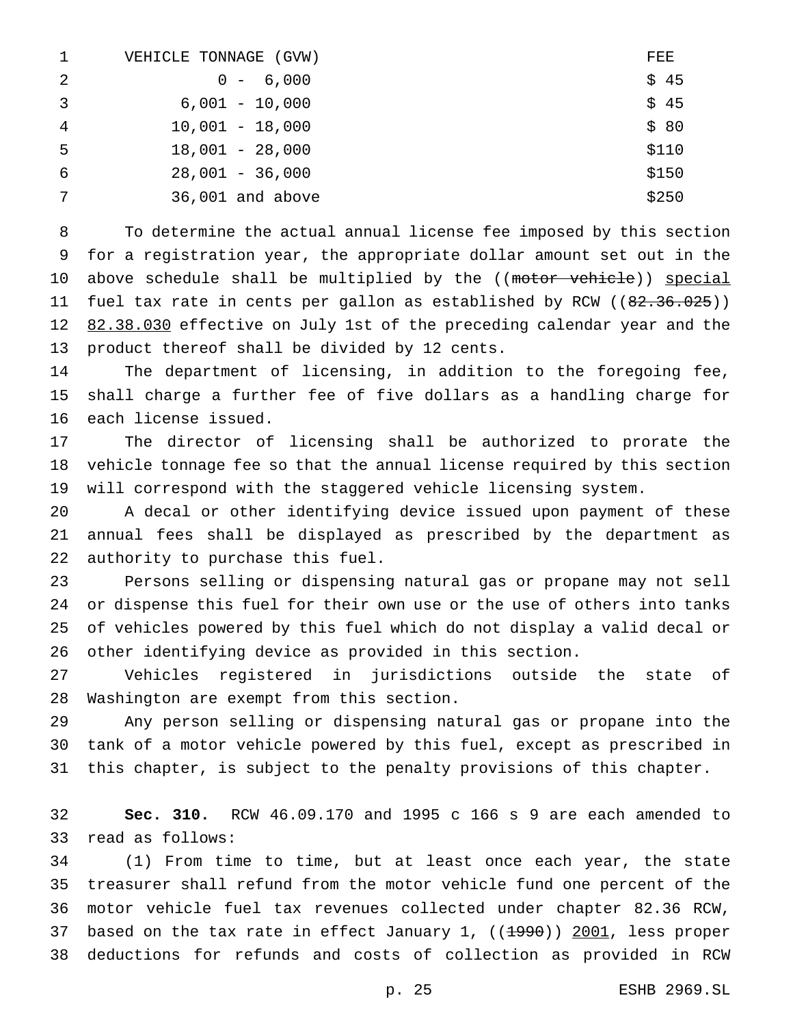| $\mathbf{1}$   | VEHICLE TONNAGE<br>(GVW) | FEE   |
|----------------|--------------------------|-------|
| 2              | $0 - 6,000$              | \$45  |
| 3              | $6,001 - 10,000$         | \$45  |
| $\overline{4}$ | $10,001 - 18,000$        | \$80  |
| -5             | $18,001 - 28,000$        | \$110 |
| 6              | $28,001 - 36,000$        | \$150 |
| 7              | 36,001 and above         | \$250 |

 To determine the actual annual license fee imposed by this section for a registration year, the appropriate dollar amount set out in the 10 above schedule shall be multiplied by the ((motor vehicle)) special 11 fuel tax rate in cents per gallon as established by RCW ((82.36.025)) 12 82.38.030 effective on July 1st of the preceding calendar year and the product thereof shall be divided by 12 cents.

 The department of licensing, in addition to the foregoing fee, shall charge a further fee of five dollars as a handling charge for each license issued.

 The director of licensing shall be authorized to prorate the vehicle tonnage fee so that the annual license required by this section will correspond with the staggered vehicle licensing system.

 A decal or other identifying device issued upon payment of these annual fees shall be displayed as prescribed by the department as authority to purchase this fuel.

 Persons selling or dispensing natural gas or propane may not sell or dispense this fuel for their own use or the use of others into tanks of vehicles powered by this fuel which do not display a valid decal or other identifying device as provided in this section.

 Vehicles registered in jurisdictions outside the state of Washington are exempt from this section.

 Any person selling or dispensing natural gas or propane into the tank of a motor vehicle powered by this fuel, except as prescribed in this chapter, is subject to the penalty provisions of this chapter.

 **Sec. 310.** RCW 46.09.170 and 1995 c 166 s 9 are each amended to read as follows:

 (1) From time to time, but at least once each year, the state treasurer shall refund from the motor vehicle fund one percent of the motor vehicle fuel tax revenues collected under chapter 82.36 RCW, 37 based on the tax rate in effect January 1,  $((1990))$  2001, less proper deductions for refunds and costs of collection as provided in RCW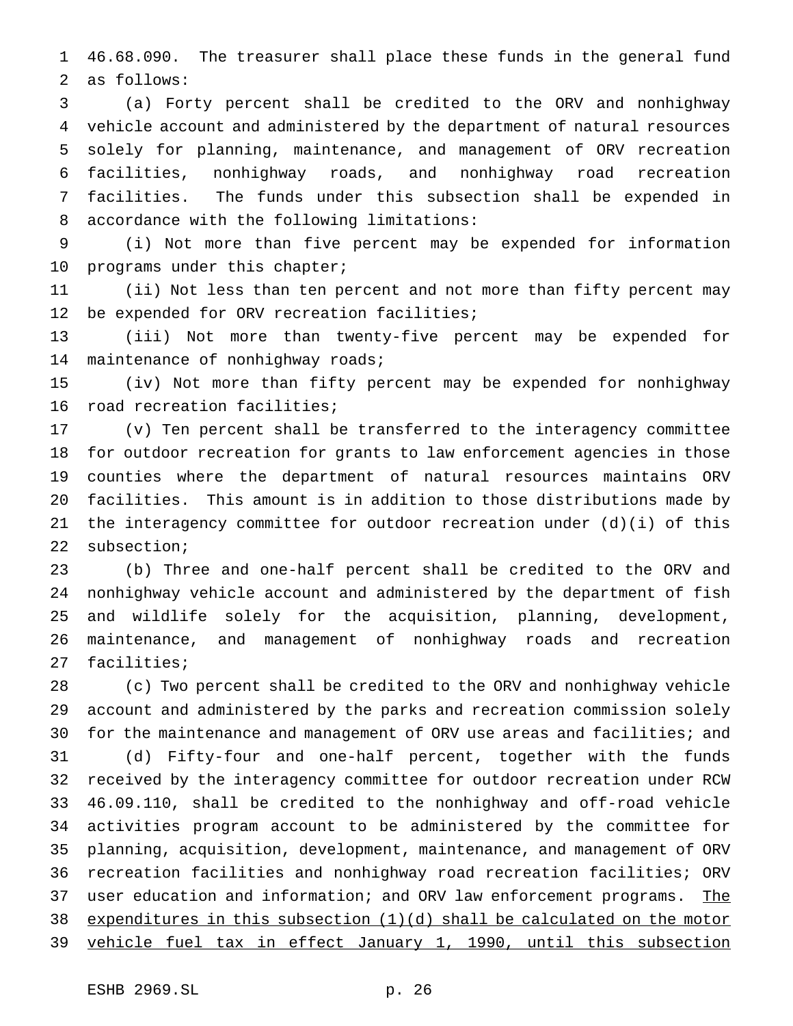46.68.090. The treasurer shall place these funds in the general fund as follows:

 (a) Forty percent shall be credited to the ORV and nonhighway vehicle account and administered by the department of natural resources solely for planning, maintenance, and management of ORV recreation facilities, nonhighway roads, and nonhighway road recreation facilities. The funds under this subsection shall be expended in accordance with the following limitations:

 (i) Not more than five percent may be expended for information 10 programs under this chapter;

 (ii) Not less than ten percent and not more than fifty percent may be expended for ORV recreation facilities;

 (iii) Not more than twenty-five percent may be expended for maintenance of nonhighway roads;

 (iv) Not more than fifty percent may be expended for nonhighway road recreation facilities;

 (v) Ten percent shall be transferred to the interagency committee for outdoor recreation for grants to law enforcement agencies in those counties where the department of natural resources maintains ORV facilities. This amount is in addition to those distributions made by the interagency committee for outdoor recreation under (d)(i) of this subsection;

 (b) Three and one-half percent shall be credited to the ORV and nonhighway vehicle account and administered by the department of fish and wildlife solely for the acquisition, planning, development, maintenance, and management of nonhighway roads and recreation facilities;

 (c) Two percent shall be credited to the ORV and nonhighway vehicle account and administered by the parks and recreation commission solely for the maintenance and management of ORV use areas and facilities; and (d) Fifty-four and one-half percent, together with the funds received by the interagency committee for outdoor recreation under RCW 46.09.110, shall be credited to the nonhighway and off-road vehicle activities program account to be administered by the committee for planning, acquisition, development, maintenance, and management of ORV recreation facilities and nonhighway road recreation facilities; ORV 37 user education and information; and ORV law enforcement programs. The 38 expenditures in this subsection  $(1)(d)$  shall be calculated on the motor vehicle fuel tax in effect January 1, 1990, until this subsection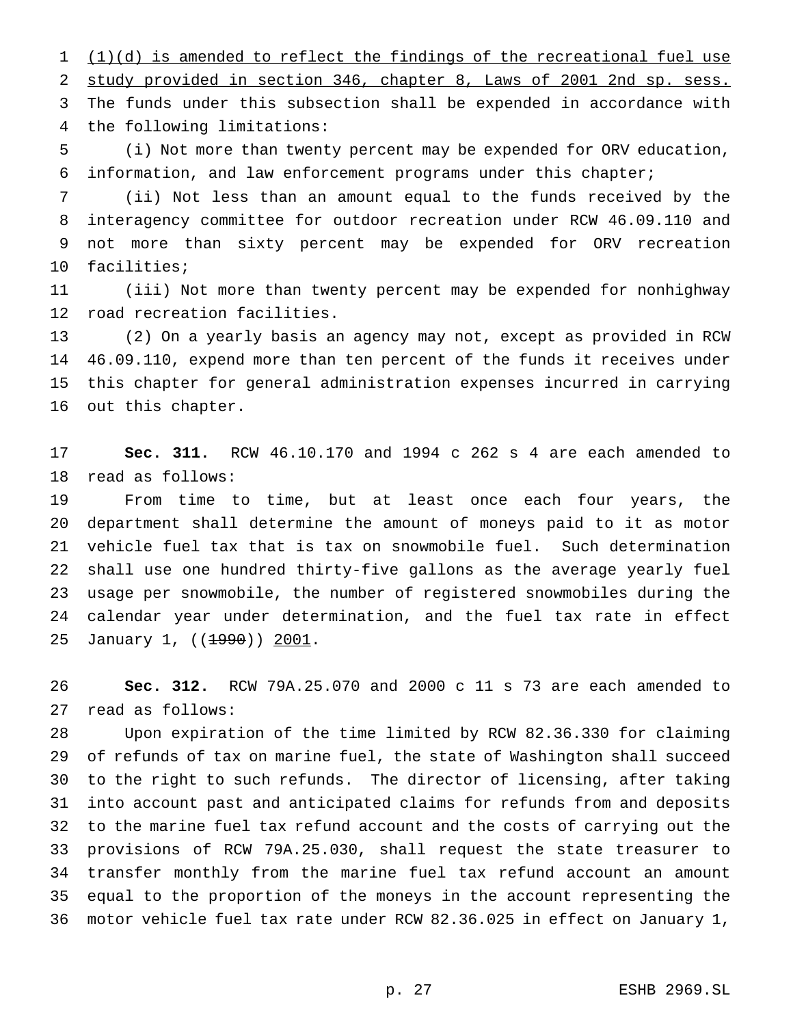(1)(d) is amended to reflect the findings of the recreational fuel use study provided in section 346, chapter 8, Laws of 2001 2nd sp. sess. The funds under this subsection shall be expended in accordance with the following limitations:

 (i) Not more than twenty percent may be expended for ORV education, information, and law enforcement programs under this chapter;

 (ii) Not less than an amount equal to the funds received by the interagency committee for outdoor recreation under RCW 46.09.110 and not more than sixty percent may be expended for ORV recreation facilities;

 (iii) Not more than twenty percent may be expended for nonhighway road recreation facilities.

 (2) On a yearly basis an agency may not, except as provided in RCW 46.09.110, expend more than ten percent of the funds it receives under this chapter for general administration expenses incurred in carrying out this chapter.

 **Sec. 311.** RCW 46.10.170 and 1994 c 262 s 4 are each amended to read as follows:

 From time to time, but at least once each four years, the department shall determine the amount of moneys paid to it as motor vehicle fuel tax that is tax on snowmobile fuel. Such determination shall use one hundred thirty-five gallons as the average yearly fuel usage per snowmobile, the number of registered snowmobiles during the calendar year under determination, and the fuel tax rate in effect 25 January 1, ((<del>1990</del>)) 2001.

 **Sec. 312.** RCW 79A.25.070 and 2000 c 11 s 73 are each amended to read as follows:

 Upon expiration of the time limited by RCW 82.36.330 for claiming of refunds of tax on marine fuel, the state of Washington shall succeed to the right to such refunds. The director of licensing, after taking into account past and anticipated claims for refunds from and deposits to the marine fuel tax refund account and the costs of carrying out the provisions of RCW 79A.25.030, shall request the state treasurer to transfer monthly from the marine fuel tax refund account an amount equal to the proportion of the moneys in the account representing the motor vehicle fuel tax rate under RCW 82.36.025 in effect on January 1,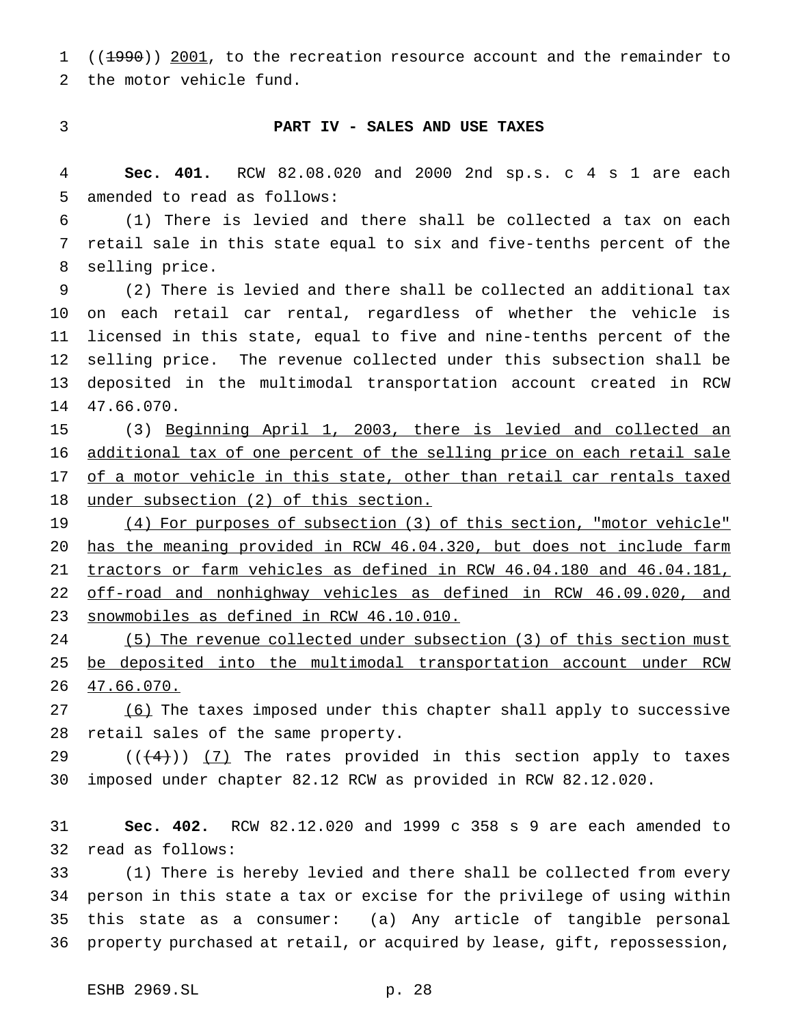1 ((<del>1990</del>)) 2001, to the recreation resource account and the remainder to the motor vehicle fund.

# **PART IV - SALES AND USE TAXES**

 **Sec. 401.** RCW 82.08.020 and 2000 2nd sp.s. c 4 s 1 are each amended to read as follows:

 (1) There is levied and there shall be collected a tax on each retail sale in this state equal to six and five-tenths percent of the selling price.

 (2) There is levied and there shall be collected an additional tax on each retail car rental, regardless of whether the vehicle is licensed in this state, equal to five and nine-tenths percent of the selling price. The revenue collected under this subsection shall be deposited in the multimodal transportation account created in RCW 47.66.070.

 (3) Beginning April 1, 2003, there is levied and collected an additional tax of one percent of the selling price on each retail sale 17 of a motor vehicle in this state, other than retail car rentals taxed under subsection (2) of this section.

 (4) For purposes of subsection (3) of this section, "motor vehicle" has the meaning provided in RCW 46.04.320, but does not include farm tractors or farm vehicles as defined in RCW 46.04.180 and 46.04.181, off-road and nonhighway vehicles as defined in RCW 46.09.020, and snowmobiles as defined in RCW 46.10.010.

24 (5) The revenue collected under subsection (3) of this section must be deposited into the multimodal transportation account under RCW 47.66.070.

27 (6) The taxes imposed under this chapter shall apply to successive retail sales of the same property.

29  $((+4))$   $(7)$  The rates provided in this section apply to taxes imposed under chapter 82.12 RCW as provided in RCW 82.12.020.

 **Sec. 402.** RCW 82.12.020 and 1999 c 358 s 9 are each amended to read as follows:

 (1) There is hereby levied and there shall be collected from every person in this state a tax or excise for the privilege of using within this state as a consumer: (a) Any article of tangible personal property purchased at retail, or acquired by lease, gift, repossession,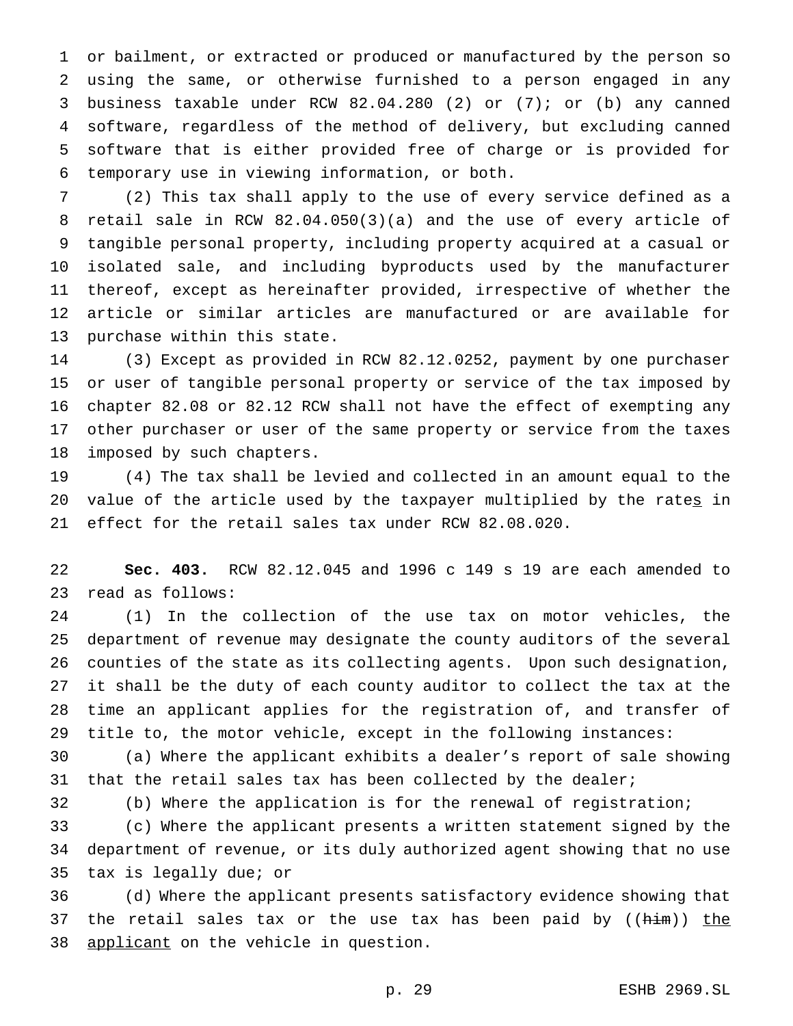or bailment, or extracted or produced or manufactured by the person so using the same, or otherwise furnished to a person engaged in any business taxable under RCW 82.04.280 (2) or (7); or (b) any canned software, regardless of the method of delivery, but excluding canned software that is either provided free of charge or is provided for temporary use in viewing information, or both.

 (2) This tax shall apply to the use of every service defined as a retail sale in RCW 82.04.050(3)(a) and the use of every article of tangible personal property, including property acquired at a casual or isolated sale, and including byproducts used by the manufacturer thereof, except as hereinafter provided, irrespective of whether the article or similar articles are manufactured or are available for purchase within this state.

 (3) Except as provided in RCW 82.12.0252, payment by one purchaser or user of tangible personal property or service of the tax imposed by chapter 82.08 or 82.12 RCW shall not have the effect of exempting any other purchaser or user of the same property or service from the taxes imposed by such chapters.

 (4) The tax shall be levied and collected in an amount equal to the 20 value of the article used by the taxpayer multiplied by the rates in effect for the retail sales tax under RCW 82.08.020.

 **Sec. 403.** RCW 82.12.045 and 1996 c 149 s 19 are each amended to read as follows:

 (1) In the collection of the use tax on motor vehicles, the department of revenue may designate the county auditors of the several counties of the state as its collecting agents. Upon such designation, it shall be the duty of each county auditor to collect the tax at the time an applicant applies for the registration of, and transfer of title to, the motor vehicle, except in the following instances:

 (a) Where the applicant exhibits a dealer's report of sale showing 31 that the retail sales tax has been collected by the dealer;

(b) Where the application is for the renewal of registration;

 (c) Where the applicant presents a written statement signed by the department of revenue, or its duly authorized agent showing that no use tax is legally due; or

 (d) Where the applicant presents satisfactory evidence showing that 37 the retail sales tax or the use tax has been paid by  $((him))$  the 38 applicant on the vehicle in question.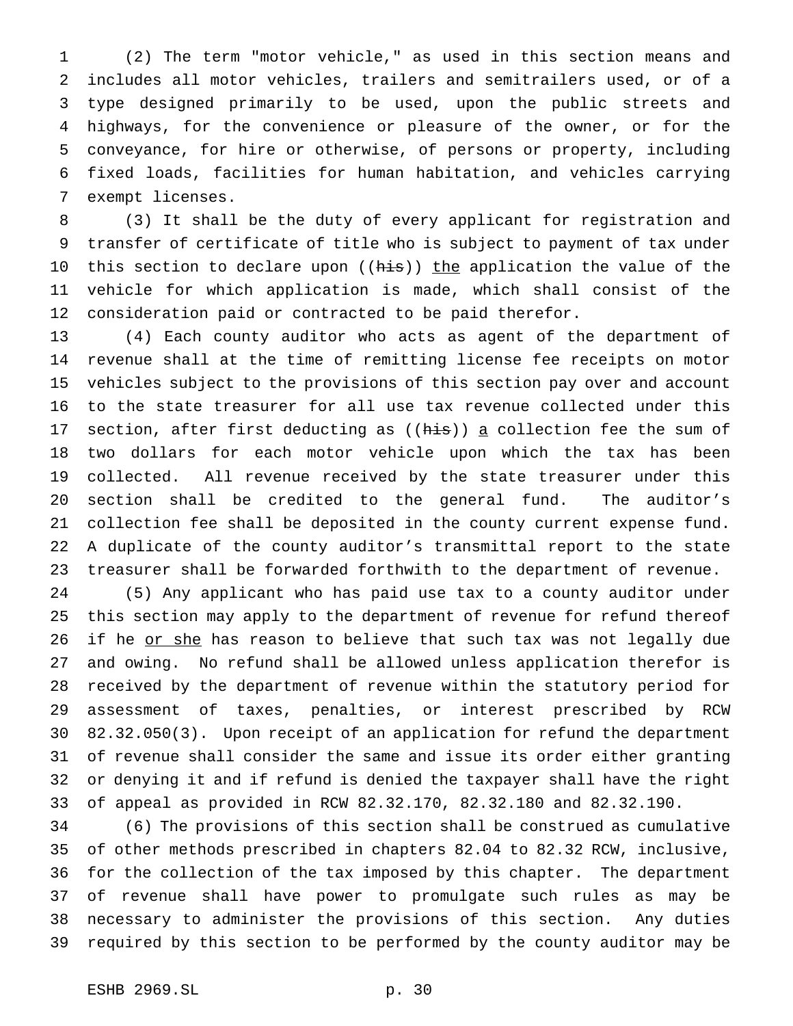(2) The term "motor vehicle," as used in this section means and includes all motor vehicles, trailers and semitrailers used, or of a type designed primarily to be used, upon the public streets and highways, for the convenience or pleasure of the owner, or for the conveyance, for hire or otherwise, of persons or property, including fixed loads, facilities for human habitation, and vehicles carrying exempt licenses.

 (3) It shall be the duty of every applicant for registration and transfer of certificate of title who is subject to payment of tax under 10 this section to declare upon ((his)) the application the value of the vehicle for which application is made, which shall consist of the consideration paid or contracted to be paid therefor.

 (4) Each county auditor who acts as agent of the department of revenue shall at the time of remitting license fee receipts on motor vehicles subject to the provisions of this section pay over and account to the state treasurer for all use tax revenue collected under this 17 section, after first deducting as  $((\overline{his}))$  a collection fee the sum of two dollars for each motor vehicle upon which the tax has been collected. All revenue received by the state treasurer under this section shall be credited to the general fund. The auditor's collection fee shall be deposited in the county current expense fund. A duplicate of the county auditor's transmittal report to the state treasurer shall be forwarded forthwith to the department of revenue.

 (5) Any applicant who has paid use tax to a county auditor under this section may apply to the department of revenue for refund thereof 26 if he or she has reason to believe that such tax was not legally due and owing. No refund shall be allowed unless application therefor is received by the department of revenue within the statutory period for assessment of taxes, penalties, or interest prescribed by RCW 82.32.050(3). Upon receipt of an application for refund the department of revenue shall consider the same and issue its order either granting or denying it and if refund is denied the taxpayer shall have the right of appeal as provided in RCW 82.32.170, 82.32.180 and 82.32.190.

 (6) The provisions of this section shall be construed as cumulative of other methods prescribed in chapters 82.04 to 82.32 RCW, inclusive, for the collection of the tax imposed by this chapter. The department of revenue shall have power to promulgate such rules as may be necessary to administer the provisions of this section. Any duties required by this section to be performed by the county auditor may be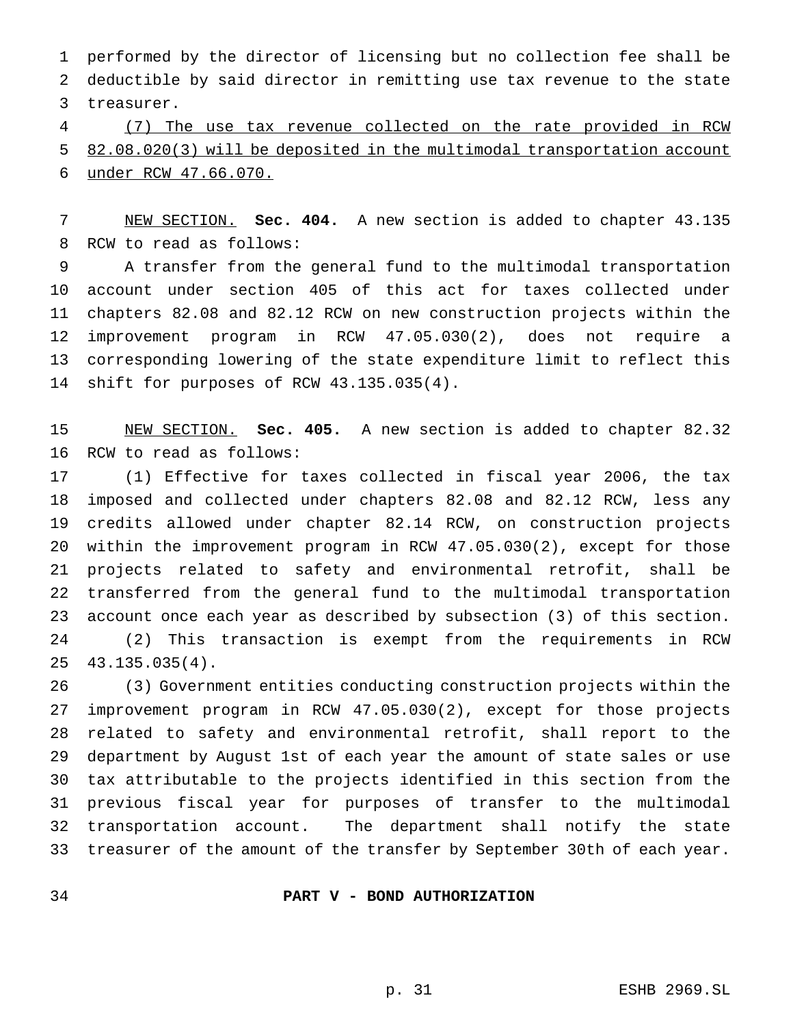performed by the director of licensing but no collection fee shall be deductible by said director in remitting use tax revenue to the state treasurer.

 (7) The use tax revenue collected on the rate provided in RCW 82.08.020(3) will be deposited in the multimodal transportation account under RCW 47.66.070.

 NEW SECTION. **Sec. 404.** A new section is added to chapter 43.135 RCW to read as follows:

 A transfer from the general fund to the multimodal transportation account under section 405 of this act for taxes collected under chapters 82.08 and 82.12 RCW on new construction projects within the improvement program in RCW 47.05.030(2), does not require a corresponding lowering of the state expenditure limit to reflect this shift for purposes of RCW 43.135.035(4).

 NEW SECTION. **Sec. 405.** A new section is added to chapter 82.32 RCW to read as follows:

 (1) Effective for taxes collected in fiscal year 2006, the tax imposed and collected under chapters 82.08 and 82.12 RCW, less any credits allowed under chapter 82.14 RCW, on construction projects within the improvement program in RCW 47.05.030(2), except for those projects related to safety and environmental retrofit, shall be transferred from the general fund to the multimodal transportation account once each year as described by subsection (3) of this section. (2) This transaction is exempt from the requirements in RCW 43.135.035(4).

 (3) Government entities conducting construction projects within the improvement program in RCW 47.05.030(2), except for those projects related to safety and environmental retrofit, shall report to the department by August 1st of each year the amount of state sales or use tax attributable to the projects identified in this section from the previous fiscal year for purposes of transfer to the multimodal transportation account. The department shall notify the state treasurer of the amount of the transfer by September 30th of each year.

**PART V - BOND AUTHORIZATION**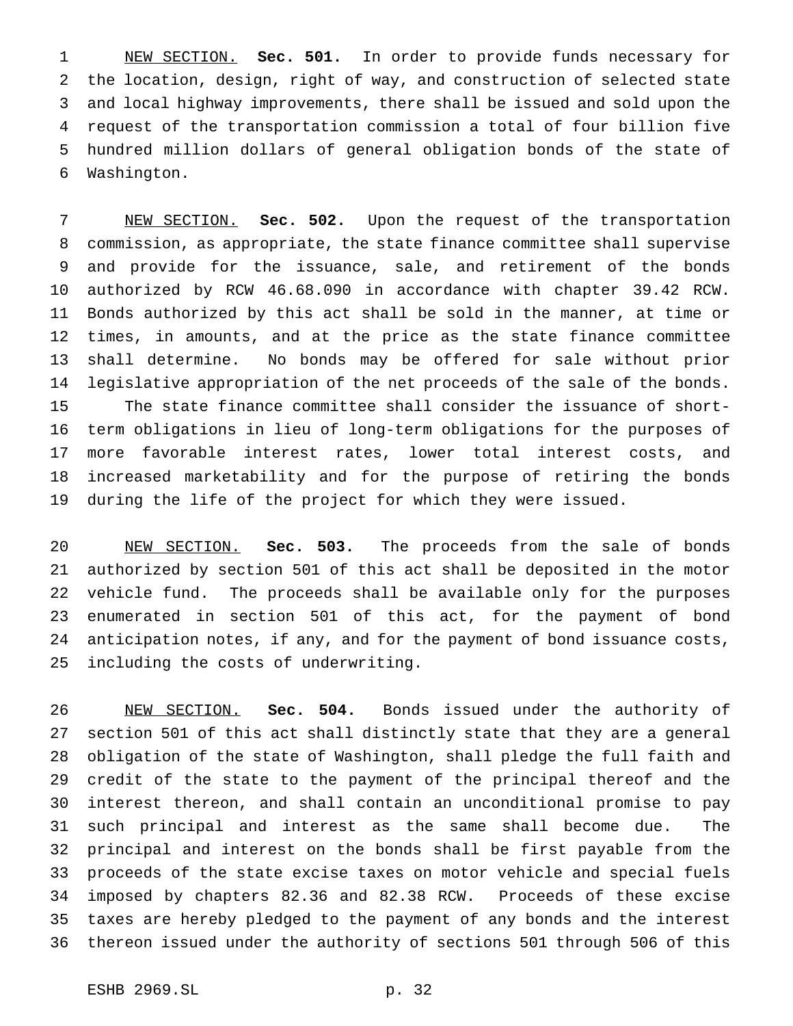NEW SECTION. **Sec. 501.** In order to provide funds necessary for the location, design, right of way, and construction of selected state and local highway improvements, there shall be issued and sold upon the request of the transportation commission a total of four billion five hundred million dollars of general obligation bonds of the state of Washington.

 NEW SECTION. **Sec. 502.** Upon the request of the transportation commission, as appropriate, the state finance committee shall supervise and provide for the issuance, sale, and retirement of the bonds authorized by RCW 46.68.090 in accordance with chapter 39.42 RCW. Bonds authorized by this act shall be sold in the manner, at time or times, in amounts, and at the price as the state finance committee shall determine. No bonds may be offered for sale without prior legislative appropriation of the net proceeds of the sale of the bonds. The state finance committee shall consider the issuance of short- term obligations in lieu of long-term obligations for the purposes of more favorable interest rates, lower total interest costs, and increased marketability and for the purpose of retiring the bonds during the life of the project for which they were issued.

 NEW SECTION. **Sec. 503.** The proceeds from the sale of bonds authorized by section 501 of this act shall be deposited in the motor vehicle fund. The proceeds shall be available only for the purposes enumerated in section 501 of this act, for the payment of bond anticipation notes, if any, and for the payment of bond issuance costs, including the costs of underwriting.

 NEW SECTION. **Sec. 504.** Bonds issued under the authority of section 501 of this act shall distinctly state that they are a general obligation of the state of Washington, shall pledge the full faith and credit of the state to the payment of the principal thereof and the interest thereon, and shall contain an unconditional promise to pay such principal and interest as the same shall become due. The principal and interest on the bonds shall be first payable from the proceeds of the state excise taxes on motor vehicle and special fuels imposed by chapters 82.36 and 82.38 RCW. Proceeds of these excise taxes are hereby pledged to the payment of any bonds and the interest thereon issued under the authority of sections 501 through 506 of this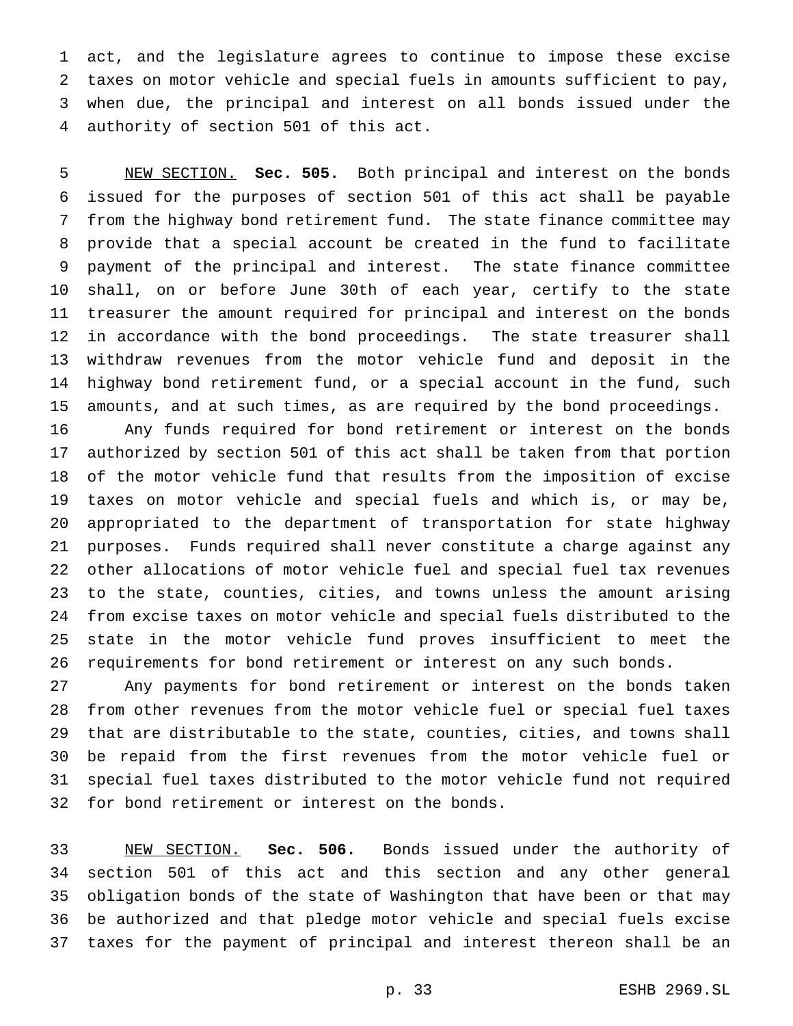act, and the legislature agrees to continue to impose these excise taxes on motor vehicle and special fuels in amounts sufficient to pay, when due, the principal and interest on all bonds issued under the authority of section 501 of this act.

 NEW SECTION. **Sec. 505.** Both principal and interest on the bonds issued for the purposes of section 501 of this act shall be payable from the highway bond retirement fund. The state finance committee may provide that a special account be created in the fund to facilitate payment of the principal and interest. The state finance committee shall, on or before June 30th of each year, certify to the state treasurer the amount required for principal and interest on the bonds in accordance with the bond proceedings. The state treasurer shall withdraw revenues from the motor vehicle fund and deposit in the highway bond retirement fund, or a special account in the fund, such amounts, and at such times, as are required by the bond proceedings.

 Any funds required for bond retirement or interest on the bonds authorized by section 501 of this act shall be taken from that portion of the motor vehicle fund that results from the imposition of excise taxes on motor vehicle and special fuels and which is, or may be, appropriated to the department of transportation for state highway purposes. Funds required shall never constitute a charge against any other allocations of motor vehicle fuel and special fuel tax revenues to the state, counties, cities, and towns unless the amount arising from excise taxes on motor vehicle and special fuels distributed to the state in the motor vehicle fund proves insufficient to meet the requirements for bond retirement or interest on any such bonds.

 Any payments for bond retirement or interest on the bonds taken from other revenues from the motor vehicle fuel or special fuel taxes that are distributable to the state, counties, cities, and towns shall be repaid from the first revenues from the motor vehicle fuel or special fuel taxes distributed to the motor vehicle fund not required for bond retirement or interest on the bonds.

 NEW SECTION. **Sec. 506.** Bonds issued under the authority of section 501 of this act and this section and any other general obligation bonds of the state of Washington that have been or that may be authorized and that pledge motor vehicle and special fuels excise taxes for the payment of principal and interest thereon shall be an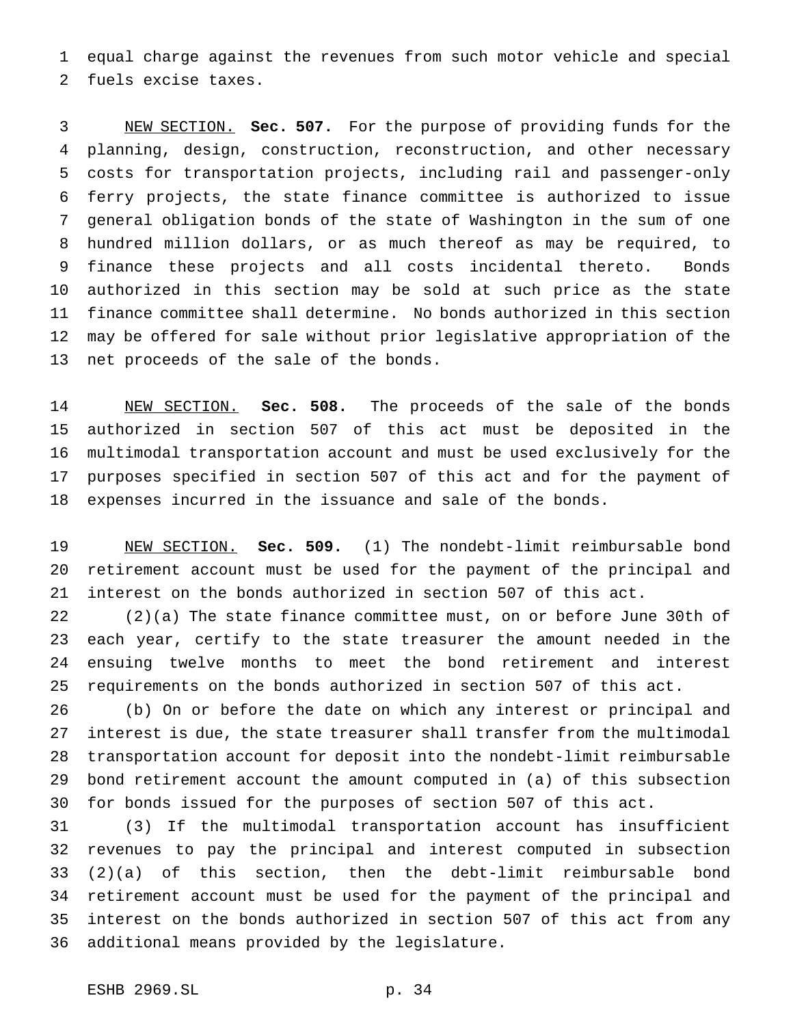equal charge against the revenues from such motor vehicle and special fuels excise taxes.

 NEW SECTION. **Sec. 507.** For the purpose of providing funds for the planning, design, construction, reconstruction, and other necessary costs for transportation projects, including rail and passenger-only ferry projects, the state finance committee is authorized to issue general obligation bonds of the state of Washington in the sum of one hundred million dollars, or as much thereof as may be required, to finance these projects and all costs incidental thereto. Bonds authorized in this section may be sold at such price as the state finance committee shall determine. No bonds authorized in this section may be offered for sale without prior legislative appropriation of the net proceeds of the sale of the bonds.

 NEW SECTION. **Sec. 508.** The proceeds of the sale of the bonds authorized in section 507 of this act must be deposited in the multimodal transportation account and must be used exclusively for the purposes specified in section 507 of this act and for the payment of expenses incurred in the issuance and sale of the bonds.

 NEW SECTION. **Sec. 509.** (1) The nondebt-limit reimbursable bond retirement account must be used for the payment of the principal and interest on the bonds authorized in section 507 of this act.

 (2)(a) The state finance committee must, on or before June 30th of each year, certify to the state treasurer the amount needed in the ensuing twelve months to meet the bond retirement and interest requirements on the bonds authorized in section 507 of this act.

 (b) On or before the date on which any interest or principal and interest is due, the state treasurer shall transfer from the multimodal transportation account for deposit into the nondebt-limit reimbursable bond retirement account the amount computed in (a) of this subsection for bonds issued for the purposes of section 507 of this act.

 (3) If the multimodal transportation account has insufficient revenues to pay the principal and interest computed in subsection (2)(a) of this section, then the debt-limit reimbursable bond retirement account must be used for the payment of the principal and interest on the bonds authorized in section 507 of this act from any additional means provided by the legislature.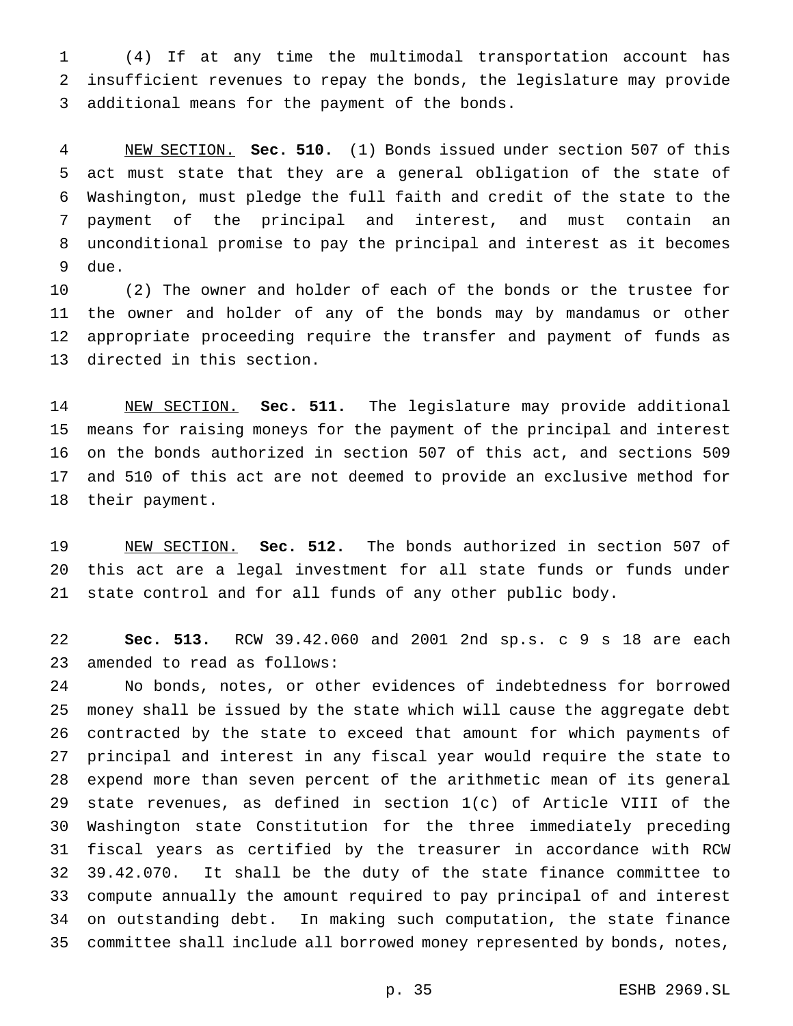(4) If at any time the multimodal transportation account has insufficient revenues to repay the bonds, the legislature may provide additional means for the payment of the bonds.

 NEW SECTION. **Sec. 510.** (1) Bonds issued under section 507 of this act must state that they are a general obligation of the state of Washington, must pledge the full faith and credit of the state to the payment of the principal and interest, and must contain an unconditional promise to pay the principal and interest as it becomes due.

 (2) The owner and holder of each of the bonds or the trustee for the owner and holder of any of the bonds may by mandamus or other appropriate proceeding require the transfer and payment of funds as directed in this section.

 NEW SECTION. **Sec. 511.** The legislature may provide additional means for raising moneys for the payment of the principal and interest on the bonds authorized in section 507 of this act, and sections 509 and 510 of this act are not deemed to provide an exclusive method for their payment.

 NEW SECTION. **Sec. 512.** The bonds authorized in section 507 of this act are a legal investment for all state funds or funds under state control and for all funds of any other public body.

 **Sec. 513.** RCW 39.42.060 and 2001 2nd sp.s. c 9 s 18 are each amended to read as follows:

 No bonds, notes, or other evidences of indebtedness for borrowed money shall be issued by the state which will cause the aggregate debt contracted by the state to exceed that amount for which payments of principal and interest in any fiscal year would require the state to expend more than seven percent of the arithmetic mean of its general state revenues, as defined in section 1(c) of Article VIII of the Washington state Constitution for the three immediately preceding fiscal years as certified by the treasurer in accordance with RCW 39.42.070. It shall be the duty of the state finance committee to compute annually the amount required to pay principal of and interest on outstanding debt. In making such computation, the state finance committee shall include all borrowed money represented by bonds, notes,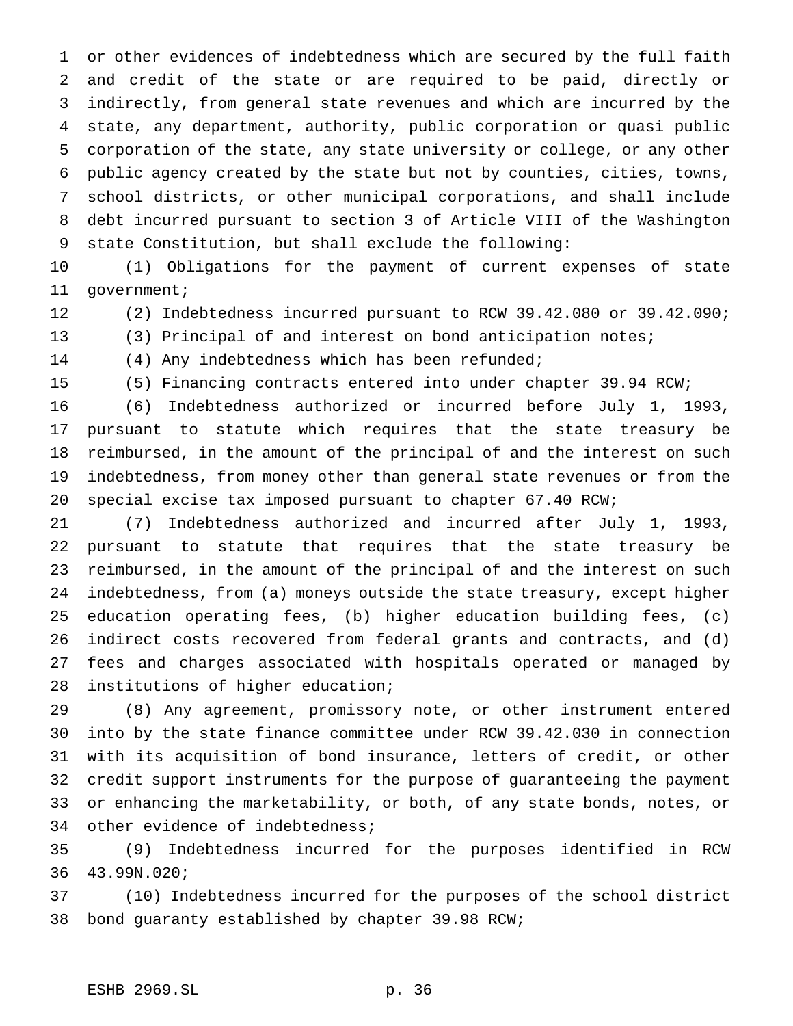or other evidences of indebtedness which are secured by the full faith and credit of the state or are required to be paid, directly or indirectly, from general state revenues and which are incurred by the state, any department, authority, public corporation or quasi public corporation of the state, any state university or college, or any other public agency created by the state but not by counties, cities, towns, school districts, or other municipal corporations, and shall include debt incurred pursuant to section 3 of Article VIII of the Washington state Constitution, but shall exclude the following:

 (1) Obligations for the payment of current expenses of state government;

- (2) Indebtedness incurred pursuant to RCW 39.42.080 or 39.42.090;
- (3) Principal of and interest on bond anticipation notes;
- (4) Any indebtedness which has been refunded;

(5) Financing contracts entered into under chapter 39.94 RCW;

 (6) Indebtedness authorized or incurred before July 1, 1993, pursuant to statute which requires that the state treasury be reimbursed, in the amount of the principal of and the interest on such indebtedness, from money other than general state revenues or from the special excise tax imposed pursuant to chapter 67.40 RCW;

 (7) Indebtedness authorized and incurred after July 1, 1993, pursuant to statute that requires that the state treasury be reimbursed, in the amount of the principal of and the interest on such indebtedness, from (a) moneys outside the state treasury, except higher education operating fees, (b) higher education building fees, (c) indirect costs recovered from federal grants and contracts, and (d) fees and charges associated with hospitals operated or managed by institutions of higher education;

 (8) Any agreement, promissory note, or other instrument entered into by the state finance committee under RCW 39.42.030 in connection with its acquisition of bond insurance, letters of credit, or other credit support instruments for the purpose of guaranteeing the payment or enhancing the marketability, or both, of any state bonds, notes, or other evidence of indebtedness;

 (9) Indebtedness incurred for the purposes identified in RCW 43.99N.020;

 (10) Indebtedness incurred for the purposes of the school district bond guaranty established by chapter 39.98 RCW;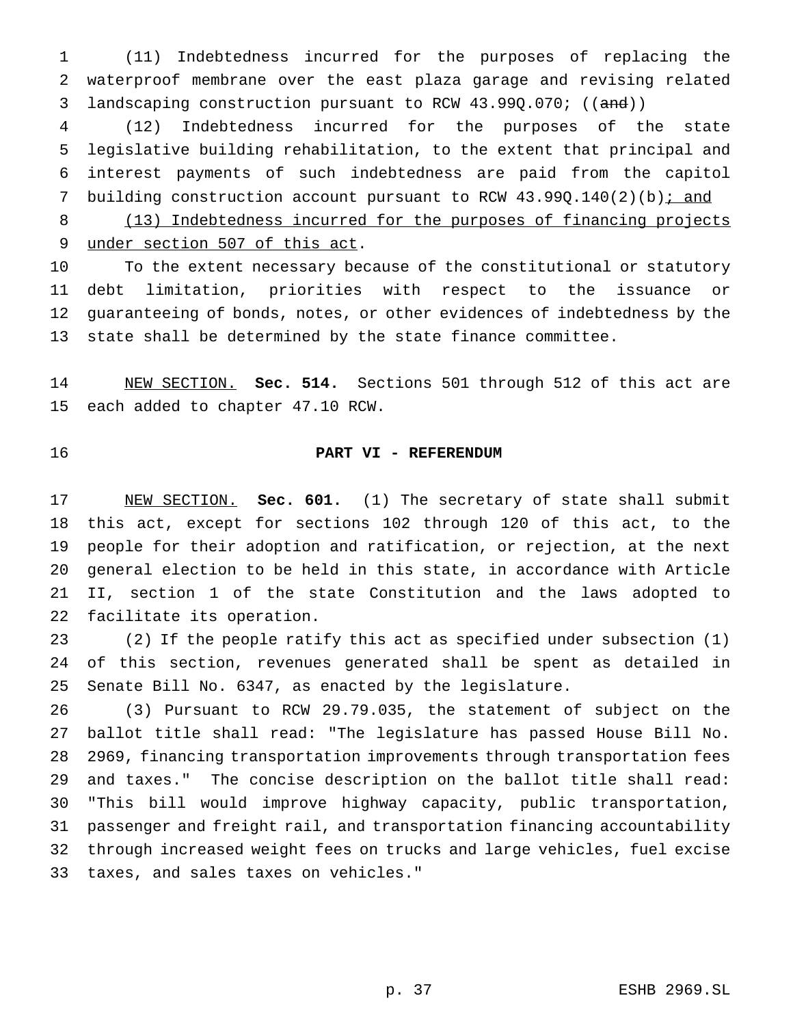(11) Indebtedness incurred for the purposes of replacing the waterproof membrane over the east plaza garage and revising related 3 landscaping construction pursuant to RCW 43.99Q.070; ((and))

 (12) Indebtedness incurred for the purposes of the state legislative building rehabilitation, to the extent that principal and interest payments of such indebtedness are paid from the capitol 7 building construction account pursuant to RCW 43.99Q.140(2)(b): and

8 (13) Indebtedness incurred for the purposes of financing projects under section 507 of this act.

 To the extent necessary because of the constitutional or statutory debt limitation, priorities with respect to the issuance or guaranteeing of bonds, notes, or other evidences of indebtedness by the state shall be determined by the state finance committee.

 NEW SECTION. **Sec. 514.** Sections 501 through 512 of this act are each added to chapter 47.10 RCW.

# **PART VI - REFERENDUM**

 NEW SECTION. **Sec. 601.** (1) The secretary of state shall submit this act, except for sections 102 through 120 of this act, to the people for their adoption and ratification, or rejection, at the next general election to be held in this state, in accordance with Article II, section 1 of the state Constitution and the laws adopted to facilitate its operation.

 (2) If the people ratify this act as specified under subsection (1) of this section, revenues generated shall be spent as detailed in Senate Bill No. 6347, as enacted by the legislature.

 (3) Pursuant to RCW 29.79.035, the statement of subject on the ballot title shall read: "The legislature has passed House Bill No. 2969, financing transportation improvements through transportation fees and taxes." The concise description on the ballot title shall read: "This bill would improve highway capacity, public transportation, passenger and freight rail, and transportation financing accountability through increased weight fees on trucks and large vehicles, fuel excise taxes, and sales taxes on vehicles."